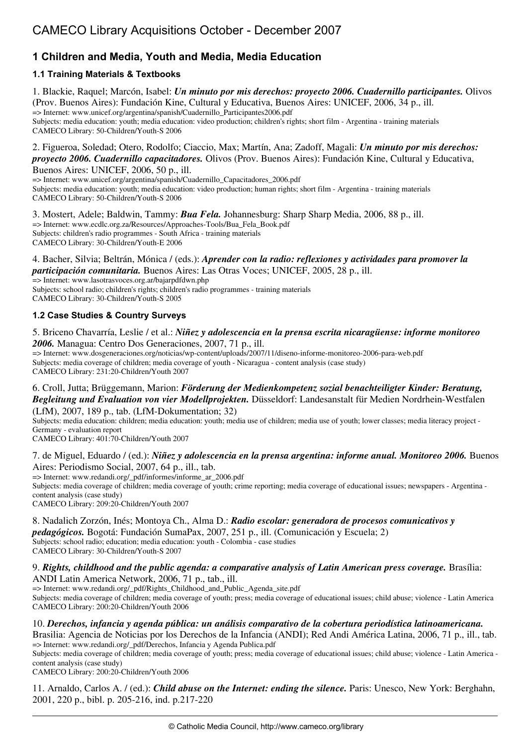# **1 Children and Media, Youth and Media, Media Education**

## **1.1 Training Materials & Textbooks**

1. Blackie, Raquel; Marcón, Isabel: *Un minuto por mis derechos: proyecto 2006. Cuadernillo participantes.* Olivos (Prov. Buenos Aires): Fundación Kine, Cultural y Educativa, Buenos Aires: UNICEF, 2006, 34 p., ill. => Internet: [www.unicef.org/argentina/spanish/Cuadernillo\\_Participantes2006.pdf](www.unicef.org/argentina/spanish/Cuadernillo_Participantes2006.pdf) Subjects: media education: youth; media education: video production; children's rights; short film - Argentina - training materials CAMECO Library: 50-Children/Youth-S 2006

2. Figueroa, Soledad; Otero, Rodolfo; Ciaccio, Max; Martín, Ana; Zadoff, Magali: *Un minuto por mis derechos: proyecto 2006. Cuadernillo capacitadores.* Olivos (Prov. Buenos Aires): Fundación Kine, Cultural y Educativa, Buenos Aires: UNICEF, 2006, 50 p., ill.

=> Internet: [www.unicef.org/argentina/spanish/Cuadernillo\\_Capacitadores\\_2006.pdf](www.unicef.org/argentina/spanish/Cuadernillo_Capacitadores_2006.pdf) Subjects: media education: youth; media education: video production; human rights; short film - Argentina - training materials CAMECO Library: 50-Children/Youth-S 2006

3. Mostert, Adele; Baldwin, Tammy: *Bua Fela.* Johannesburg: Sharp Sharp Media, 2006, 88 p., ill. => Internet: [www.ecdlc.org.za/Resources/Approaches-Tools/Bua\\_Fela\\_Book.pdf](www.ecdlc.org.za/Resources/Approaches-Tools/Bua_Fela_Book.pdf) Subjects: children's radio programmes - South Africa - training materials CAMECO Library: 30-Children/Youth-E 2006

4. Bacher, Silvia; Beltrán, Mónica / (eds.): *Aprender con la radio: reflexiones y actividades para promover la participación comunitaria.* Buenos Aires: Las Otras Voces; UNICEF, 2005, 28 p., ill. => Internet:<www.lasotrasvoces.org.ar/bajarpdfdwn.php> Subjects: school radio; children's rights; children's radio programmes - training materials CAMECO Library: 30-Children/Youth-S 2005

## **1.2 Case Studies & Country Surveys**

#### 5. Briceno Chavarría, Leslie / et al.: *Niñez y adolescencia en la prensa escrita nicaragüense: informe monitoreo 2006.* Managua: Centro Dos Generaciones, 2007, 71 p., ill.

=> Internet:<www.dosgeneraciones.org/noticias/wp-content/uploads/2007/11/diseno-informe-monitoreo-2006-para-web.pdf> Subjects: media coverage of children; media coverage of youth - Nicaragua - content analysis (case study) CAMECO Library: 231:20-Children/Youth 2007

# 6. Croll, Jutta; Brüggemann, Marion: *Förderung der Medienkompetenz sozial benachteiligter Kinder: Beratung, Begleitung und Evaluation von vier Modellprojekten.* Düsseldorf: Landesanstalt für Medien Nordrhein-Westfalen

(LfM), 2007, 189 p., tab. (LfM-Dokumentation; 32) Subjects: media education: children; media education: youth; media use of children; media use of youth; lower classes; media literacy project - Germany - evaluation report

CAMECO Library: 401:70-Children/Youth 2007

#### 7. de Miguel, Eduardo / (ed.): *Niñez y adolescencia en la prensa argentina: informe anual. Monitoreo 2006.* Buenos Aires: Periodismo Social, 2007, 64 p., ill., tab.

=> Internet: [www.redandi.org/\\_pdf/informes/informe\\_ar\\_2006.pdf](www.redandi.org/_pdf/informes/informe_ar_2006.pdf) Subjects: media coverage of children; media coverage of youth; crime reporting; media coverage of educational issues; newspapers - Argentina content analysis (case study) CAMECO Library: 209:20-Children/Youth 2007

8. Nadalich Zorzón, Inés; Montoya Ch., Alma D.: *Radio escolar: generadora de procesos comunicativos y pedagógicos.* Bogotá: Fundación SumaPax, 2007, 251 p., ill. (Comunicación y Escuela; 2) Subjects: school radio; education; media education: youth - Colombia - case studies CAMECO Library: 30-Children/Youth-S 2007

9. *Rights, childhood and the public agenda: a comparative analysis of Latin American press coverage.* Brasília: ANDI Latin America Network, 2006, 71 p., tab., ill.

=> Internet: [www.redandi.org/\\_pdf/Rights\\_Childhood\\_and\\_Public\\_Agenda\\_site.pdf](www.redandi.org/_pdf/Rights_Childhood_and_Public_Agenda_site.pdf)

Subjects: media coverage of children; media coverage of youth; press; media coverage of educational issues; child abuse; violence - Latin America CAMECO Library: 200:20-Children/Youth 2006

### 10. *Derechos, infancia y agenda pública: un análisis comparativo de la cobertura periodística latinoamericana.*

Brasilia: Agencia de Noticias por los Derechos de la Infancia (ANDI); Red Andi América Latina, 2006, 71 p., ill., tab. => Internet: [www.redandi.org/\\_pdf/Derechos,](www.redandi.org/_pdf/Derechos,) Infancia y Agenda Publica.pdf

Subjects: media coverage of children; media coverage of youth; press; media coverage of educational issues; child abuse; violence - Latin America content analysis (case study)

CAMECO Library: 200:20-Children/Youth 2006

11. Arnaldo, Carlos A. / (ed.): *Child abuse on the Internet: ending the silence.* Paris: Unesco, New York: Berghahn, 2001, 220 p., bibl. p. 205-216, ind. p.217-220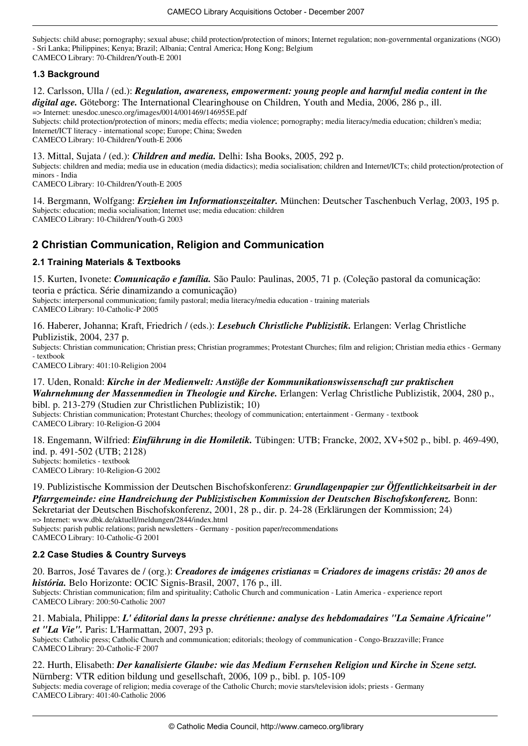Subjects: child abuse; pornography; sexual abuse; child protection/protection of minors; Internet regulation; non-governmental organizations (NGO) - Sri Lanka; Philippines; Kenya; Brazil; Albania; Central America; Hong Kong; Belgium CAMECO Library: 70-Children/Youth-E 2001

#### **1.3 Background**

12. Carlsson, Ulla / (ed.): *Regulation, awareness, empowerment: young people and harmful media content in the digital age.* Göteborg: The International Clearinghouse on Children, Youth and Media, 2006, 286 p., ill.  $\equiv$  > Internet: unesdoc.unesco.org/images/0014/001469/146955E.pdf

Subjects: child protection/protection of minors; media effects; media violence; pornography; media literacy/media education; children's media; Internet/ICT literacy - international scope; Europe; China; Sweden

CAMECO Library: 10-Children/Youth-E 2006

13. Mittal, Sujata / (ed.): *Children and media.* Delhi: Isha Books, 2005, 292 p. Subjects: children and media; media use in education (media didactics); media socialisation; children and Internet/ICTs; child protection/protection of minors - India

CAMECO Library: 10-Children/Youth-E 2005

14. Bergmann, Wolfgang: *Erziehen im Informationszeitalter.* München: Deutscher Taschenbuch Verlag, 2003, 195 p. Subjects: education; media socialisation; Internet use; media education: children CAMECO Library: 10-Children/Youth-G 2003

## **2 Christian Communication, Religion and Communication**

#### **2.1 Training Materials & Textbooks**

15. Kurten, Ivonete: *Comunicação e família.* São Paulo: Paulinas, 2005, 71 p. (Coleção pastoral da comunicação: teoria e práctica. Série dinamizando a comunicação) Subjects: interpersonal communication; family pastoral; media literacy/media education - training materials CAMECO Library: 10-Catholic-P 2005

16. Haberer, Johanna; Kraft, Friedrich / (eds.): *Lesebuch Christliche Publizistik.* Erlangen: Verlag Christliche Publizistik, 2004, 237 p. Subjects: Christian communication; Christian press; Christian programmes; Protestant Churches; film and religion; Christian media ethics - Germany - textbook

CAMECO Library: 401:10-Religion 2004

## 17. Uden, Ronald: *Kirche in der Medienwelt: Anstöße der Kommunikationswissenschaft zur praktischen Wahrnehmung der Massenmedien in Theologie und Kirche.* Erlangen: Verlag Christliche Publizistik, 2004, 280 p.,

bibl. p. 213-279 (Studien zur Christlichen Publizistik; 10) Subjects: Christian communication; Protestant Churches; theology of communication; entertainment - Germany - textbook CAMECO Library: 10-Religion-G 2004

18. Engemann, Wilfried: *Einführung in die Homiletik.* Tübingen: UTB; Francke, 2002, XV+502 p., bibl. p. 469-490, ind. p. 491-502 (UTB; 2128) Subjects: homiletics - textbook

CAMECO Library: 10-Religion-G 2002

### 19. Publizistische Kommission der Deutschen Bischofskonferenz: *Grundlagenpapier zur Öffentlichkeitsarbeit in der Pfarrgemeinde: eine Handreichung der Publizistischen Kommission der Deutschen Bischofskonferenz.* Bonn:

Sekretariat der Deutschen Bischofskonferenz, 2001, 28 p., dir. p. 24-28 (Erklärungen der Kommission; 24) => Internet:<www.dbk.de/aktuell/meldungen/2844/index.html> Subjects: parish public relations; parish newsletters - Germany - position paper/recommendations CAMECO Library: 10-Catholic-G 2001

### **2.2 Case Studies & Country Surveys**

20. Barros, José Tavares de / (org.): *Creadores de imágenes cristianas = Criadores de imagens cristãs: 20 anos de história.* Belo Horizonte: OCIC Signis-Brasil, 2007, 176 p., ill. Subjects: Christian communication; film and spirituality; Catholic Church and communication - Latin America - experience report

CAMECO Library: 200:50-Catholic 2007

21. Mabiala, Philippe: *L' éditorial dans la presse chrétienne: analyse des hebdomadaires "La Semaine Africaine" et "La Vie".* Paris: L'Harmattan, 2007, 293 p.

Subjects: Catholic press; Catholic Church and communication; editorials; theology of communication - Congo-Brazzaville; France CAMECO Library: 20-Catholic-F 2007

22. Hurth, Elisabeth: *Der kanalisierte Glaube: wie das Medium Fernsehen Religion und Kirche in Szene setzt.*  Nürnberg: VTR edition bildung und gesellschaft, 2006, 109 p., bibl. p. 105-109 Subjects: media coverage of religion; media coverage of the Catholic Church; movie stars/television idols; priests - Germany CAMECO Library: 401:40-Catholic 2006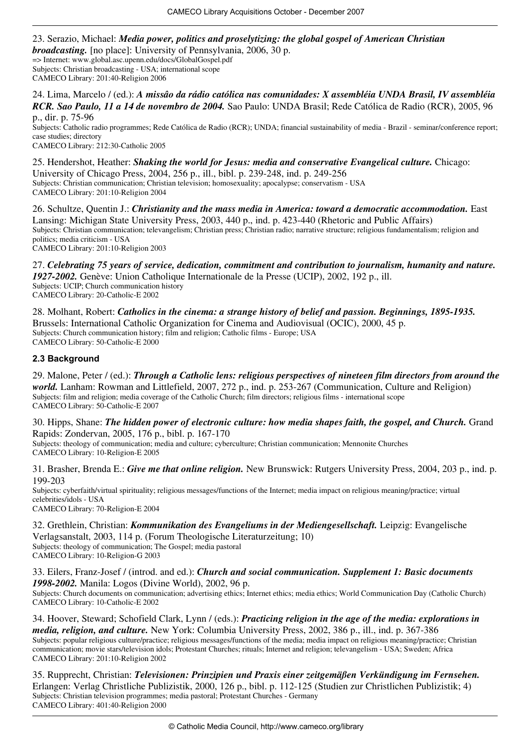### 23. Serazio, Michael: *Media power, politics and proselytizing: the global gospel of American Christian*

*broadcasting.* [no place]: University of Pennsylvania, 2006, 30 p. => Internet:<www.global.asc.upenn.edu/docs/GlobalGospel.pdf> Subjects: Christian broadcasting - USA; international scope CAMECO Library: 201:40-Religion 2006

24. Lima, Marcelo / (ed.): *A missâo da rádio católica nas comunidades: X assembléia UNDA Brasil, IV assembléia RCR. Sao Paulo, 11 a 14 de novembro de 2004.* Sao Paulo: UNDA Brasil; Rede Católica de Radio (RCR), 2005, 96 p., dir. p. 75-96

Subjects: Catholic radio programmes; Rede Católica de Radio (RCR); UNDA; financial sustainability of media - Brazil - seminar/conference report; case studies; directory

CAMECO Library: 212:30-Catholic 2005

25. Hendershot, Heather: *Shaking the world for Jesus: media and conservative Evangelical culture.* Chicago: University of Chicago Press, 2004, 256 p., ill., bibl. p. 239-248, ind. p. 249-256 Subjects: Christian communication; Christian television; homosexuality; apocalypse; conservatism - USA CAMECO Library: 201:10-Religion 2004

26. Schultze, Quentin J.: *Christianity and the mass media in America: toward a democratic accommodation*. East Lansing: Michigan State University Press, 2003, 440 p., ind. p. 423-440 (Rhetoric and Public Affairs) Subjects: Christian communication; televangelism; Christian press; Christian radio; narrative structure; religious fundamentalism; religion and politics; media criticism - USA CAMECO Library: 201:10-Religion 2003

27. *Celebrating 75 years of service, dedication, commitment and contribution to journalism, humanity and nature. 1927-2002.* Genève: Union Catholique Internationale de la Presse (UCIP), 2002, 192 p., ill. Subjects: UCIP; Church communication history CAMECO Library: 20-Catholic-E 2002

28. Molhant, Robert: *Catholics in the cinema: a strange history of belief and passion. Beginnings, 1895-1935.*  Brussels: International Catholic Organization for Cinema and Audiovisual (OCIC), 2000, 45 p. Subjects: Church communication history; film and religion; Catholic films - Europe; USA CAMECO Library: 50-Catholic-E 2000

### **2.3 Background**

29. Malone, Peter / (ed.): *Through a Catholic lens: religious perspectives of nineteen film directors from around the world.* Lanham: Rowman and Littlefield, 2007, 272 p., ind. p. 253-267 (Communication, Culture and Religion) Subjects: film and religion; media coverage of the Catholic Church; film directors; religious films - international scope CAMECO Library: 50-Catholic-E 2007

30. Hipps, Shane: *The hidden power of electronic culture: how media shapes faith, the gospel, and Church.* Grand Rapids: Zondervan, 2005, 176 p., bibl. p. 167-170

Subjects: theology of communication; media and culture; cyberculture; Christian communication; Mennonite Churches CAMECO Library: 10-Religion-E 2005

31. Brasher, Brenda E.: *Give me that online religion.* New Brunswick: Rutgers University Press, 2004, 203 p., ind. p. 199-203

Subjects: cyberfaith/virtual spirituality; religious messages/functions of the Internet; media impact on religious meaning/practice; virtual celebrities/idols - USA

CAMECO Library: 70-Religion-E 2004

32. Grethlein, Christian: *Kommunikation des Evangeliums in der Mediengesellschaft.* Leipzig: Evangelische Verlagsanstalt, 2003, 114 p. (Forum Theologische Literaturzeitung; 10) Subjects: theology of communication; The Gospel; media pastoral CAMECO Library: 10-Religion-G 2003

33. Eilers, Franz-Josef / (introd. and ed.): *Church and social communication. Supplement 1: Basic documents 1998-2002.* Manila: Logos (Divine World), 2002, 96 p.

Subjects: Church documents on communication; advertising ethics; Internet ethics; media ethics; World Communication Day (Catholic Church) CAMECO Library: 10-Catholic-E 2002

34. Hoover, Steward; Schofield Clark, Lynn / (eds.): *Practicing religion in the age of the media: explorations in media, religion, and culture.* New York: Columbia University Press, 2002, 386 p., ill., ind. p. 367-386 Subjects: popular religious culture/practice; religious messages/functions of the media; media impact on religious meaning/practice; Christian communication; movie stars/television idols; Protestant Churches; rituals; Internet and religion; televangelism - USA; Sweden; Africa CAMECO Library: 201:10-Religion 2002

35. Rupprecht, Christian: *Televisionen: Prinzipien und Praxis einer zeitgemäßen Verkündigung im Fernsehen.*  Erlangen: Verlag Christliche Publizistik, 2000, 126 p., bibl. p. 112-125 (Studien zur Christlichen Publizistik; 4) Subjects: Christian television programmes; media pastoral; Protestant Churches - Germany CAMECO Library: 401:40-Religion 2000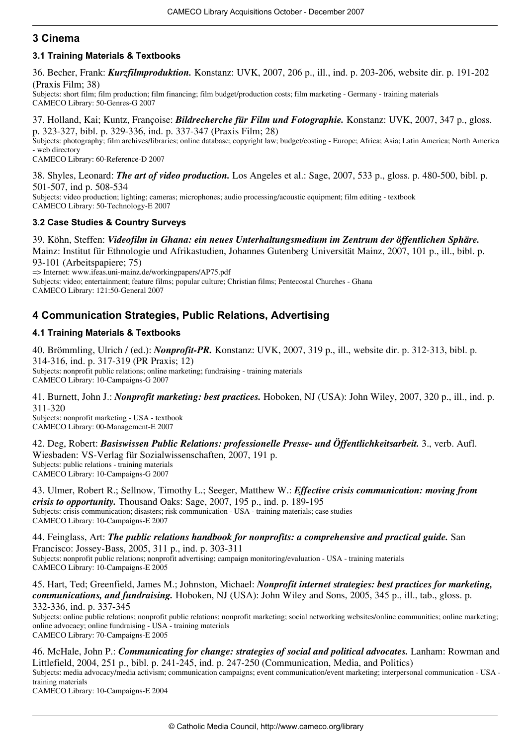## **3 Cinema**

### **3.1 Training Materials & Textbooks**

36. Becher, Frank: *Kurzfilmproduktion.* Konstanz: UVK, 2007, 206 p., ill., ind. p. 203-206, website dir. p. 191-202 (Praxis Film; 38)

Subjects: short film; film production; film financing; film budget/production costs; film marketing - Germany - training materials CAMECO Library: 50-Genres-G 2007

37. Holland, Kai; Kuntz, Françoise: *Bildrecherche für Film und Fotographie.* Konstanz: UVK, 2007, 347 p., gloss. p. 323-327, bibl. p. 329-336, ind. p. 337-347 (Praxis Film; 28)

Subjects: photography; film archives/libraries; online database; copyright law; budget/costing - Europe; Africa; Asia; Latin America; North America - web directory

CAMECO Library: 60-Reference-D 2007

38. Shyles, Leonard: *The art of video production.* Los Angeles et al.: Sage, 2007, 533 p., gloss. p. 480-500, bibl. p. 501-507, ind p. 508-534

Subjects: video production; lighting; cameras; microphones; audio processing/acoustic equipment; film editing - textbook CAMECO Library: 50-Technology-E 2007

#### **3.2 Case Studies & Country Surveys**

39. Köhn, Steffen: *Videofilm in Ghana: ein neues Unterhaltungsmedium im Zentrum der öffentlichen Sphäre.*  Mainz: Institut für Ethnologie und Afrikastudien, Johannes Gutenberg Universität Mainz, 2007, 101 p., ill., bibl. p. 93-101 (Arbeitspapiere; 75) => Internet:<www.ifeas.uni-mainz.de/workingpapers/AP75.pdf> Subjects: video; entertainment; feature films; popular culture; Christian films; Pentecostal Churches - Ghana CAMECO Library: 121:50-General 2007

## **4 Communication Strategies, Public Relations, Advertising**

### **4.1 Training Materials & Textbooks**

40. Brömmling, Ulrich / (ed.): *Nonprofit-PR.* Konstanz: UVK, 2007, 319 p., ill., website dir. p. 312-313, bibl. p. 314-316, ind. p. 317-319 (PR Praxis; 12) Subjects: nonprofit public relations; online marketing; fundraising - training materials CAMECO Library: 10-Campaigns-G 2007

41. Burnett, John J.: *Nonprofit marketing: best practices.* Hoboken, NJ (USA): John Wiley, 2007, 320 p., ill., ind. p. 311-320 Subjects: nonprofit marketing - USA - textbook

CAMECO Library: 00-Management-E 2007

42. Deg, Robert: *Basiswissen Public Relations: professionelle Presse- und Öffentlichkeitsarbeit.* 3., verb. Aufl. Wiesbaden: VS-Verlag für Sozialwissenschaften, 2007, 191 p. Subjects: public relations - training materials CAMECO Library: 10-Campaigns-G 2007

43. Ulmer, Robert R.; Sellnow, Timothy L.; Seeger, Matthew W.: *Effective crisis communication: moving from crisis to opportunity.* Thousand Oaks: Sage, 2007, 195 p., ind. p. 189-195 Subjects: crisis communication; disasters; risk communication - USA - training materials; case studies CAMECO Library: 10-Campaigns-E 2007

44. Feinglass, Art: *The public relations handbook for nonprofits: a comprehensive and practical guide.* San Francisco: Jossey-Bass, 2005, 311 p., ind. p. 303-311 Subjects: nonprofit public relations; nonprofit advertising; campaign monitoring/evaluation - USA - training materials CAMECO Library: 10-Campaigns-E 2005

45. Hart, Ted; Greenfield, James M.; Johnston, Michael: *Nonprofit internet strategies: best practices for marketing, communications, and fundraising.* Hoboken, NJ (USA): John Wiley and Sons, 2005, 345 p., ill., tab., gloss. p. 332-336, ind. p. 337-345

Subjects: online public relations; nonprofit public relations; nonprofit marketing; social networking websites/online communities; online marketing; online advocacy; online fundraising - USA - training materials CAMECO Library: 70-Campaigns-E 2005

46. McHale, John P.: *Communicating for change: strategies of social and political advocates.* Lanham: Rowman and Littlefield, 2004, 251 p., bibl. p. 241-245, ind. p. 247-250 (Communication, Media, and Politics) Subjects: media advocacy/media activism; communication campaigns; event communication/event marketing; interpersonal communication - USA training materials CAMECO Library: 10-Campaigns-E 2004

© Catholic Media Council, [http://](http://www.cameco.org/library)<www.cameco.org/library>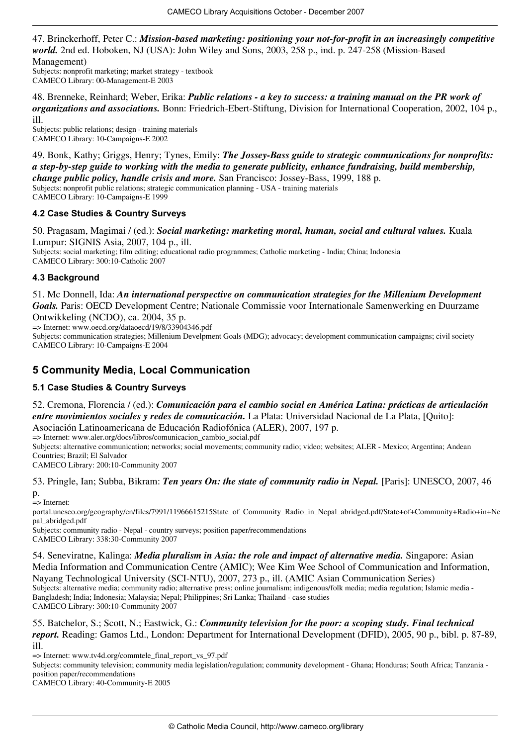47. Brinckerhoff, Peter C.: *Mission-based marketing: positioning your not-for-profit in an increasingly competitive world.* 2nd ed. Hoboken, NJ (USA): John Wiley and Sons, 2003, 258 p., ind. p. 247-258 (Mission-Based Management)

Subjects: nonprofit marketing; market strategy - textbook CAMECO Library: 00-Management-E 2003

48. Brenneke, Reinhard; Weber, Erika: *Public relations - a key to success: a training manual on the PR work of organizations and associations.* Bonn: Friedrich-Ebert-Stiftung, Division for International Cooperation, 2002, 104 p., ill.

Subjects: public relations; design - training materials CAMECO Library: 10-Campaigns-E 2002

49. Bonk, Kathy; Griggs, Henry; Tynes, Emily: *The Jossey-Bass guide to strategic communications for nonprofits: a step-by-step guide to working with the media to generate publicity, enhance fundraising, build membership, change public policy, handle crisis and more.* San Francisco: Jossey-Bass, 1999, 188 p.

Subjects: nonprofit public relations; strategic communication planning - USA - training materials CAMECO Library: 10-Campaigns-E 1999

### **4.2 Case Studies & Country Surveys**

50. Pragasam, Magimai / (ed.): *Social marketing: marketing moral, human, social and cultural values.* Kuala Lumpur: SIGNIS Asia, 2007, 104 p., ill. Subjects: social marketing; film editing; educational radio programmes; Catholic marketing - India; China; Indonesia CAMECO Library: 300:10-Catholic 2007

#### **4.3 Background**

51. Mc Donnell, Ida: *An international perspective on communication strategies for the Millenium Development Goals.* Paris: OECD Development Centre; Nationale Commissie voor Internationale Samenwerking en Duurzame Ontwikkeling (NCDO), ca. 2004, 35 p.

=> Internet:<www.oecd.org/dataoecd/19/8/33904346.pdf>

Subjects: communication strategies; Millenium Develpment Goals (MDG); advocacy; development communication campaigns; civil society CAMECO Library: 10-Campaigns-E 2004

## **5 Community Media, Local Communication**

### **5.1 Case Studies & Country Surveys**

52. Cremona, Florencia / (ed.): *Comunicación para el cambio social en América Latina: prácticas de articulación entre movimientos sociales y redes de comunicación.* La Plata: Universidad Nacional de La Plata, [Quito]:

Asociación Latinoamericana de Educación Radiofónica (ALER), 2007, 197 p.

=> Internet: [www.aler.org/docs/libros/comunicacion\\_cambio\\_social.pdf](www.aler.org/docs/libros/comunicacion_cambio_social.pdf)

Subjects: alternative communication; networks; social movements; community radio; video; websites; ALER - Mexico; Argentina; Andean Countries; Brazil; El Salvador

CAMECO Library: 200:10-Community 2007

53. Pringle, Ian; Subba, Bikram: *Ten years On: the state of community radio in Nepal.* [Paris]: UNESCO, 2007, 46 p.

 $\bar{=}$ > Internet:

portal.unesco.org/geography/en/files/7991/11966615215State\_of\_Community\_Radio\_in\_Nepal\_abridged.pdf/State+of+Community+Radio+in+Ne pal\_abridged.pdf

Subjects: community radio - Nepal - country surveys; position paper/recommendations CAMECO Library: 338:30-Community 2007

54. Seneviratne, Kalinga: *Media pluralism in Asia: the role and impact of alternative media.* Singapore: Asian Media Information and Communication Centre (AMIC); Wee Kim Wee School of Communication and Information, Nayang Technological University (SCI-NTU), 2007, 273 p., ill. (AMIC Asian Communication Series) Subjects: alternative media; community radio; alternative press; online journalism; indigenous/folk media; media regulation; Islamic media - Bangladesh; India; Indonesia; Malaysia; Nepal; Philippines; Sri Lanka; Thailand - case studies CAMECO Library: 300:10-Community 2007

55. Batchelor, S.; Scott, N.; Eastwick, G.: *Community television for the poor: a scoping study. Final technical report.* Reading: Gamos Ltd., London: Department for International Development (DFID), 2005, 90 p., bibl. p. 87-89, ill.

=> Internet: [www.tv4d.org/commtele\\_final\\_report\\_vs\\_97.pdf](www.tv4d.org/commtele_final_report_vs_97.pdf)

Subjects: community television; community media legislation/regulation; community development - Ghana; Honduras; South Africa; Tanzania position paper/recommendations

CAMECO Library: 40-Community-E 2005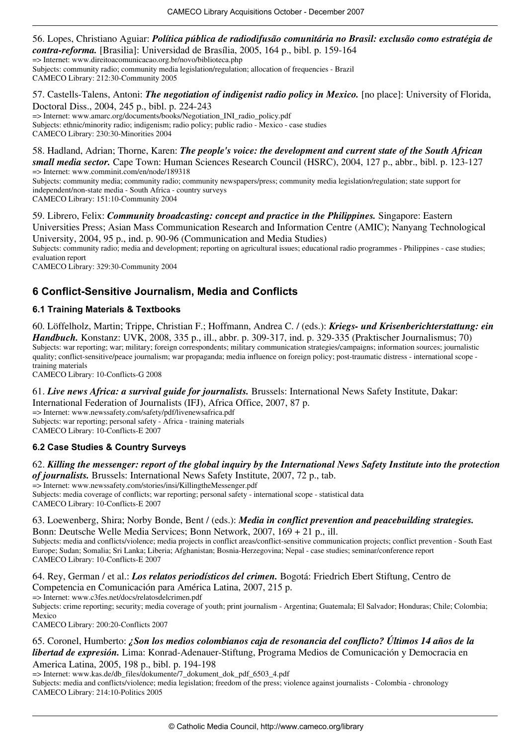#### 56. Lopes, Christiano Aguiar: *Política pública de radiodifusão comunitária no Brasil: exclusão como estratégia de contra-reforma.* [Brasilia]: Universidad de Brasília, 2005, 164 p., bibl. p. 159-164 => Internet:<www.direitoacomunicacao.org.br/novo/biblioteca.php> Subjects: community radio; community media legislation/regulation; allocation of frequencies - Brazil CAMECO Library: 212:30-Community 2005

### 57. Castells-Talens, Antoni: *The negotiation of indigenist radio policy in Mexico*. [no place]: University of Florida, Doctoral Diss., 2004, 245 p., bibl. p. 224-243

=> Internet: [www.amarc.org/documents/books/Negotiation\\_INI\\_radio\\_policy.pdf](www.amarc.org/documents/books/Negotiation_INI_radio_policy.pdf) Subjects: ethnic/minority radio; indigenism; radio policy; public radio - Mexico - case studies CAMECO Library: 230:30-Minorities 2004

#### 58. Hadland, Adrian; Thorne, Karen: *The people's voice: the development and current state of the South African small media sector.* Cape Town: Human Sciences Research Council (HSRC), 2004, 127 p., abbr., bibl. p. 123-127 => Internet:<www.comminit.com/en/node/189318>

Subjects: community media; community radio; community newspapers/press; community media legislation/regulation; state support for independent/non-state media - South Africa - country surveys CAMECO Library: 151:10-Community 2004

59. Librero, Felix: *Community broadcasting: concept and practice in the Philippines.* Singapore: Eastern Universities Press; Asian Mass Communication Research and Information Centre (AMIC); Nanyang Technological University, 2004, 95 p., ind. p. 90-96 (Communication and Media Studies) Subjects: community radio; media and development; reporting on agricultural issues; educational radio programmes - Philippines - case studies; evaluation report CAMECO Library: 329:30-Community 2004

## **6 Conflict-Sensitive Journalism, Media and Conflicts**

### **6.1 Training Materials & Textbooks**

60. Löffelholz, Martin; Trippe, Christian F.; Hoffmann, Andrea C. / (eds.): *Kriegs- und Krisenberichterstattung: ein Handbuch.* Konstanz: UVK, 2008, 335 p., ill., abbr. p. 309-317, ind. p. 329-335 (Praktischer Journalismus; 70) Subjects: war reporting; war; military; foreign correspondents; military communication strategies/campaigns; information sources; journalistic quality; conflict-sensitive/peace journalism; war propaganda; media influence on foreign policy; post-traumatic distress - international scope training materials

CAMECO Library: 10-Conflicts-G 2008

### 61. *Live news Africa: a survival guide for journalists.* Brussels: International News Safety Institute, Dakar:

International Federation of Journalists (IFJ), Africa Office, 2007, 87 p. => Internet: <www.newssafety.com/safety/pdf/livenewsafrica.pdf> Subjects: war reporting; personal safety - Africa - training materials CAMECO Library: 10-Conflicts-E 2007

### **6.2 Case Studies & Country Surveys**

#### 62. *Killing the messenger: report of the global inquiry by the International News Safety Institute into the protection of journalists.* Brussels: International News Safety Institute, 2007, 72 p., tab.

=> Internet: <www.newssafety.com/stories/insi/KillingtheMessenger.pdf> Subjects: media coverage of conflicts; war reporting; personal safety - international scope - statistical data CAMECO Library: 10-Conflicts-E 2007

#### 63. Loewenberg, Shira; Norby Bonde, Bent / (eds.): *Media in conflict prevention and peacebuilding strategies.*  Bonn: Deutsche Welle Media Services; Bonn Network, 2007, 169 + 21 p., ill.

Subjects: media and conflicts/violence; media projects in conflict areas/conflict-sensitive communication projects; conflict prevention - South East Europe; Sudan; Somalia; Sri Lanka; Liberia; Afghanistan; Bosnia-Herzegovina; Nepal - case studies; seminar/conference report CAMECO Library: 10-Conflicts-E 2007

64. Rey, German / et al.: *Los relatos periodísticos del crimen.* Bogotá: Friedrich Ebert Stiftung, Centro de Competencia en Comunicación para América Latina, 2007, 215 p. => Internet: <www.c3fes.net/docs/relatosdelcrimen.pdf>

Subjects: crime reporting; security; media coverage of youth; print journalism - Argentina; Guatemala; El Salvador; Honduras; Chile; Colombia; Mexico

CAMECO Library: 200:20-Conflicts 2007

#### 65. Coronel, Humberto: *¿Son los medios colombianos caja de resonancia del conflicto? Últimos 14 años de la libertad de expresión.* Lima: Konrad-Adenauer-Stiftung, Programa Medios de Comunicación y Democracia en America Latina, 2005, 198 p., bibl. p. 194-198

=> Internet: [www.kas.de/db\\_files/dokumente/7\\_dokument\\_dok\\_pdf\\_6503\\_4.pdf](www.kas.de/db_files/dokumente/7_dokument_dok_pdf_6503_4.pdf)

Subjects: media and conflicts/violence; media legislation; freedom of the press; violence against journalists - Colombia - chronology CAMECO Library: 214:10-Politics 2005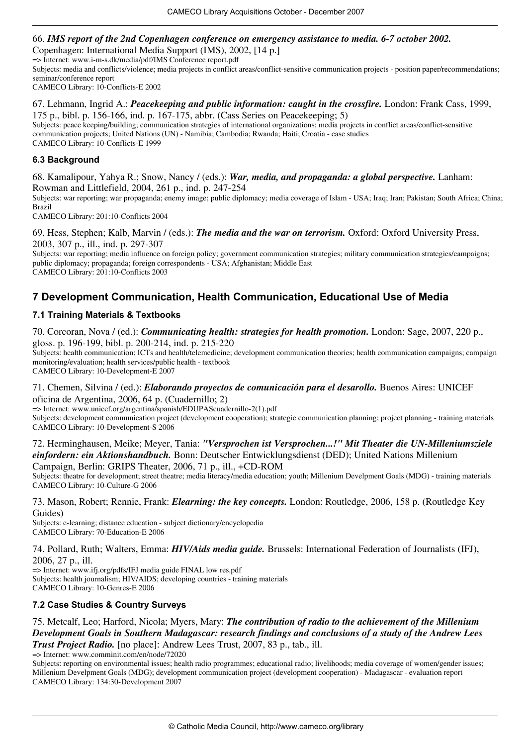#### 66. *IMS report of the 2nd Copenhagen conference on emergency assistance to media. 6-7 october 2002.*  Copenhagen: International Media Support (IMS), 2002, [14 p.]

=> Internet:<www.i-m-s.dk/media/pdf/IMS>Conference report.pdf

Subjects: media and conflicts/violence; media projects in conflict areas/conflict-sensitive communication projects - position paper/recommendations; seminar/conference report

CAMECO Library: 10-Conflicts-E 2002

#### 67. Lehmann, Ingrid A.: *Peacekeeping and public information: caught in the crossfire.* London: Frank Cass, 1999, 175 p., bibl. p. 156-166, ind. p. 167-175, abbr. (Cass Series on Peacekeeping; 5)

Subjects: peace keeping/building; communication strategies of international organizations; media projects in conflict areas/conflict-sensitive communication projects; United Nations (UN) - Namibia; Cambodia; Rwanda; Haiti; Croatia - case studies CAMECO Library: 10-Conflicts-E 1999

### **6.3 Background**

68. Kamalipour, Yahya R.; Snow, Nancy / (eds.): *War, media, and propaganda: a global perspective.* Lanham: Rowman and Littlefield, 2004, 261 p., ind. p. 247-254

Subjects: war reporting; war propaganda; enemy image; public diplomacy; media coverage of Islam - USA; Iraq; Iran; Pakistan; South Africa; China; Brazil

CAMECO Library: 201:10-Conflicts 2004

69. Hess, Stephen; Kalb, Marvin / (eds.): *The media and the war on terrorism.* Oxford: Oxford University Press, 2003, 307 p., ill., ind. p. 297-307

Subjects: war reporting; media influence on foreign policy; government communication strategies; military communication strategies/campaigns; public diplomacy; propaganda; foreign correspondents - USA; Afghanistan; Middle East CAMECO Library: 201:10-Conflicts 2003

## **7 Development Communication, Health Communication, Educational Use of Media**

### **7.1 Training Materials & Textbooks**

70. Corcoran, Nova / (ed.): *Communicating health: strategies for health promotion.* London: Sage, 2007, 220 p., gloss. p. 196-199, bibl. p. 200-214, ind. p. 215-220 Subjects: health communication; ICTs and health/telemedicine; development communication theories; health communication campaigns; campaign monitoring/evaluation; health services/public health - textbook

CAMECO Library: 10-Development-E 2007

71. Chemen, Silvina / (ed.): *Elaborando proyectos de comunicación para el desarollo.* Buenos Aires: UNICEF oficina de Argentina, 2006, 64 p. (Cuadernillo; 2)

=> Internet: [www.unicef.org/argentina/spanish/EDUPAScuadernillo-2\(1\).pdf](www.unicef.org/argentina/spanish/EDUPAScuadernillo-2(1).pdf) Subjects: development communication project (development cooperation); strategic communication planning; project planning - training materials CAMECO Library: 10-Development-S 2006

72. Herminghausen, Meike; Meyer, Tania: *"Versprochen ist Versprochen...!" Mit Theater die UN-Milleniumsziele einfordern: ein Aktionshandbuch.* Bonn: Deutscher Entwicklungsdienst (DED); United Nations Millenium Campaign, Berlin: GRIPS Theater, 2006, 71 p., ill., +CD-ROM

Subjects: theatre for development; street theatre; media literacy/media education; youth; Millenium Develpment Goals (MDG) - training materials CAMECO Library: 10-Culture-G 2006

73. Mason, Robert; Rennie, Frank: *Elearning: the key concepts.* London: Routledge, 2006, 158 p. (Routledge Key Guides)

Subjects: e-learning; distance education - subject dictionary/encyclopedia CAMECO Library: 70-Education-E 2006

74. Pollard, Ruth; Walters, Emma: *HIV/Aids media guide.* Brussels: International Federation of Journalists (IFJ), 2006, 27 p., ill.

=> Internet:<www.ifj.org/pdfs/IFJ> media guide FINAL low res.pdf Subjects: health journalism; HIV/AIDS; developing countries - training materials CAMECO Library: 10-Genres-E 2006

### **7.2 Case Studies & Country Surveys**

75. Metcalf, Leo; Harford, Nicola; Myers, Mary: *The contribution of radio to the achievement of the Millenium Development Goals in Southern Madagascar: research findings and conclusions of a study of the Andrew Lees Trust Project Radio.* [no place]: Andrew Lees Trust, 2007, 83 p., tab., ill.

=> Internet:<www.comminit.com/en/node/72020>

Subjects: reporting on environmental issues; health radio programmes; educational radio; livelihoods; media coverage of women/gender issues; Millenium Develpment Goals (MDG); development communication project (development cooperation) - Madagascar - evaluation report CAMECO Library: 134:30-Development 2007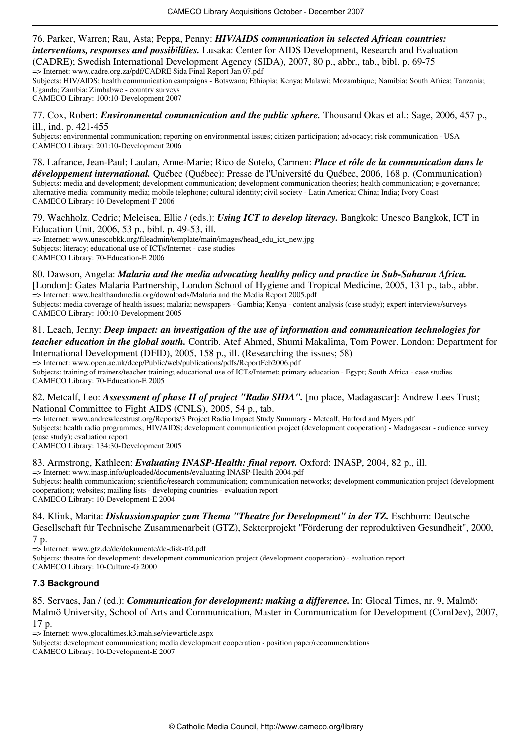76. Parker, Warren; Rau, Asta; Peppa, Penny: *HIV/AIDS communication in selected African countries: interventions, responses and possibilities.* Lusaka: Center for AIDS Development, Research and Evaluation (CADRE); Swedish International Development Agency (SIDA), 2007, 80 p., abbr., tab., bibl. p. 69-75 => Internet:<www.cadre.org.za/pdf/CADRE> Sida Final Report Jan 07.pdf

Subjects: HIV/AIDS; health communication campaigns - Botswana; Ethiopia; Kenya; Malawi; Mozambique; Namibia; South Africa; Tanzania; Uganda; Zambia; Zimbabwe - country surveys

CAMECO Library: 100:10-Development 2007

77. Cox, Robert: *Environmental communication and the public sphere.* Thousand Okas et al.: Sage, 2006, 457 p., ill., ind. p. 421-455

Subjects: environmental communication; reporting on environmental issues; citizen participation; advocacy; risk communication - USA CAMECO Library: 201:10-Development 2006

78. Lafrance, Jean-Paul; Laulan, Anne-Marie; Rico de Sotelo, Carmen: *Place et rôle de la communication dans le développement international.* Québec (Québec): Presse de l'Université du Québec, 2006, 168 p. (Communication) Subjects: media and development; development communication; development communication theories; health communication; e-governance; alternative media; community media; mobile telephone; cultural identity; civil society - Latin America; China; India; Ivory Coast CAMECO Library: 10-Development-F 2006

#### 79. Wachholz, Cedric; Meleisea, Ellie / (eds.): *Using ICT to develop literacy.* Bangkok: Unesco Bangkok, ICT in Education Unit, 2006, 53 p., bibl. p. 49-53, ill.

=> Internet: [www.unescobkk.org/fileadmin/template/main/images/head\\_edu\\_ict\\_new.jpg](www.unescobkk.org/fileadmin/template/main/images/head_edu_ict_new.jpg) Subjects: literacy; educational use of ICTs/Internet - case studies CAMECO Library: 70-Education-E 2006

80. Dawson, Angela: *Malaria and the media advocating healthy policy and practice in Sub-Saharan Africa.*  [London]: Gates Malaria Partnership, London School of Hygiene and Tropical Medicine, 2005, 131 p., tab., abbr. => Internet:<www.healthandmedia.org/downloads/Malaria> and the Media Report 2005.pdf Subjects: media coverage of health issues; malaria; newspapers - Gambia; Kenya - content analysis (case study); expert interviews/surveys CAMECO Library: 100:10-Development 2005

### 81. Leach, Jenny: *Deep impact: an investigation of the use of information and communication technologies for teacher education in the global south.* Contrib. Atef Ahmed, Shumi Makalima, Tom Power. London: Department for

International Development (DFID), 2005, 158 p., ill. (Researching the issues; 58)

=> Internet:<www.open.ac.uk/deep/Public/web/publications/pdfs/ReportFeb2006.pdf> Subjects: training of trainers/teacher training; educational use of ICTs/Internet; primary education - Egypt; South Africa - case studies CAMECO Library: 70-Education-E 2005

#### 82. Metcalf, Leo: *Assessment of phase II of project "Radio SIDA"*. [no place, Madagascar]: Andrew Lees Trust; National Committee to Fight AIDS (CNLS), 2005, 54 p., tab.

=> Internet:<www.andrewleestrust.org/Reports/3> Project Radio Impact Study Summary - Metcalf, Harford and Myers.pdf Subjects: health radio programmes; HIV/AIDS; development communication project (development cooperation) - Madagascar - audience survey (case study); evaluation report

CAMECO Library: 134:30-Development 2005

83. Armstrong, Kathleen: *Evaluating INASP-Health: final report.* Oxford: INASP, 2004, 82 p., ill.

=> Internet:<www.inasp.info/uploaded/documents/evaluating>INASP-Health 2004.pdf Subjects: health communication; scientific/research communication; communication networks; development communication project (development cooperation); websites; mailing lists - developing countries - evaluation report CAMECO Library: 10-Development-E 2004

84. Klink, Marita: *Diskussionspapier zum Thema "Theatre for Development" in der TZ*. Eschborn: Deutsche Gesellschaft für Technische Zusammenarbeit (GTZ), Sektorprojekt "Förderung der reproduktiven Gesundheit", 2000, 7 p.

=> Internet:<www.gtz.de/de/dokumente/de-disk-tfd.pdf>

Subjects: theatre for development; development communication project (development cooperation) - evaluation report

CAMECO Library: 10-Culture-G 2000

### **7.3 Background**

85. Servaes, Jan / (ed.): *Communication for development: making a difference.* In: Glocal Times, nr. 9, Malmö: Malmö University, School of Arts and Communication, Master in Communication for Development (ComDev), 2007, 17 p.

=> Internet: <www.glocaltimes.k3.mah.se/viewarticle.aspx>

Subjects: development communication; media development cooperation - position paper/recommendations CAMECO Library: 10-Development-E 2007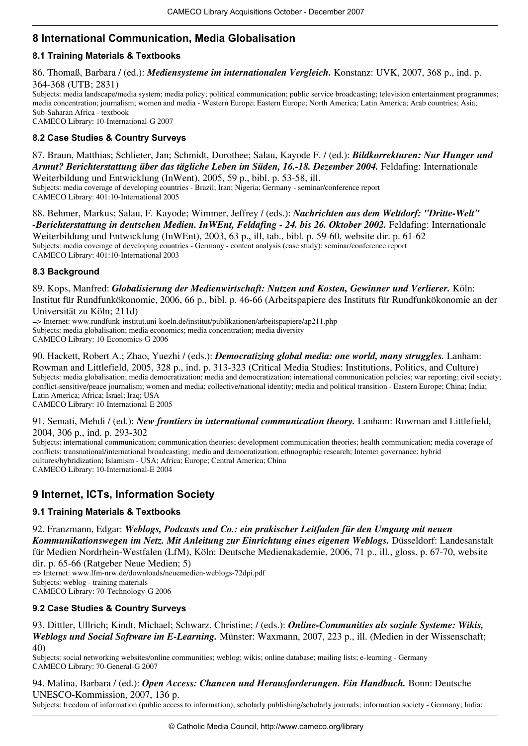## **8 International Communication, Media Globalisation**

### **8.1 Training Materials & Textbooks**

86. Thomaß, Barbara / (ed.): *Mediensysteme im internationalen Vergleich.* Konstanz: UVK, 2007, 368 p., ind. p. 364-368 (UTB; 2831)

Subjects: media landscape/media system; media policy; political communication; public service broadcasting; television entertainment programmes; media concentration; journalism; women and media - Western Europe; Eastern Europe; North America; Latin America; Arab countries; Asia; Sub-Saharan Africa - textbook

CAMECO Library: 10-International-G 2007

### **8.2 Case Studies & Country Surveys**

87. Braun, Matthias; Schlieter, Jan; Schmidt, Dorothee; Salau, Kayode F. / (ed.): *Bildkorrekturen: Nur Hunger und Armut? Berichterstattung über das tägliche Leben im Süden, 16.-18. Dezember 2004.* Feldafing: Internationale Weiterbildung und Entwicklung (InWent), 2005, 59 p., bibl. p. 53-58, ill.

Subjects: media coverage of developing countries - Brazil; Iran; Nigeria; Germany - seminar/conference report CAMECO Library: 401:10-International 2005

88. Behmer, Markus; Salau, F. Kayode; Wimmer, Jeffrey / (eds.): *Nachrichten aus dem Weltdorf: "Dritte-Welt" -Berichterstattung in deutschen Medien. InWEnt, Feldafing - 24. bis 26. Oktober 2002.* Feldafing: Internationale Weiterbildung und Entwicklung (InWEnt), 2003, 63 p., ill, tab., bibl. p. 59-60, website dir. p. 61-62 Subjects: media coverage of developing countries - Germany - content analysis (case study); seminar/conference report CAMECO Library: 401:10-International 2003

### **8.3 Background**

89. Kops, Manfred: *Globalisierung der Medienwirtschaft: Nutzen und Kosten, Gewinner und Verlierer.* Köln: Institut für Rundfunkökonomie, 2006, 66 p., bibl. p. 46-66 (Arbeitspapiere des Instituts für Rundfunkökonomie an der Universität zu Köln; 211d)

=> Internet:<www.rundfunk-institut.uni-koeln.de/institut/publikationen/arbeitspapiere/ap211.php> Subjects: media globalisation; media economics; media concentration; media diversity CAMECO Library: 10-Economics-G 2006

90. Hackett, Robert A.; Zhao, Yuezhi / (eds.): *Democratizing global media: one world, many struggles.* Lanham: Rowman and Littlefield, 2005, 328 p., ind. p. 313-323 (Critical Media Studies: Institutions, Politics, and Culture) Subjects: media globalisation; media democratization; media and democratization; international communication policies; war reporting; civil society; conflict-sensitive/peace journalism; women and media; collective/national identity; media and political transition - Eastern Europe; China; India; Latin America; Africa; Israel; Iraq; USA

CAMECO Library: 10-International-E 2005

91. Semati, Mehdi / (ed.): *New frontiers in international communication theory.* Lanham: Rowman and Littlefield, 2004, 306 p., ind. p. 293-302

Subjects: international communication; communication theories; development communication theories; health communication; media coverage of conflicts; transnational/international broadcasting; media and democratization; ethnographic research; Internet governance; hybrid cultures/hybridization; Islamism - USA; Africa; Europe; Central America; China CAMECO Library: 10-International-E 2004

## **9 Internet, ICTs, Information Society**

### **9.1 Training Materials & Textbooks**

92. Franzmann, Edgar: *Weblogs, Podcasts und Co.: ein prakischer Leitfaden für den Umgang mit neuen Kommunikationswegen im Netz. Mit Anleitung zur Einrichtung eines eigenen Weblogs.* Düsseldorf: Landesanstalt für Medien Nordrhein-Westfalen (LfM), Köln: Deutsche Medienakademie, 2006, 71 p., ill., gloss. p. 67-70, website dir. p. 65-66 (Ratgeber Neue Medien; 5) => Internet:<www.lfm-nrw.de/downloads/neuemedien-weblogs-72dpi.pdf> Subjects: weblog - training materials CAMECO Library: 70-Technology-G 2006

### **9.2 Case Studies & Country Surveys**

93. Dittler, Ullrich; Kindt, Michael; Schwarz, Christine; / (eds.): *Online-Communities als soziale Systeme: Wikis, Weblogs und Social Software im E-Learning.* Münster: Waxmann, 2007, 223 p., ill. (Medien in der Wissenschaft; 40)

Subjects: social networking websites/online communities; weblog; wikis; online database; mailing lists; e-learning - Germany CAMECO Library: 70-General-G 2007

94. Malina, Barbara / (ed.): Open Access: Chancen und Herausforderungen. Ein Handbuch. Bonn: Deutsche UNESCO-Kommission, 2007, 136 p.

Subjects: freedom of information (public access to information); scholarly publishing/scholarly journals; information society - Germany; India;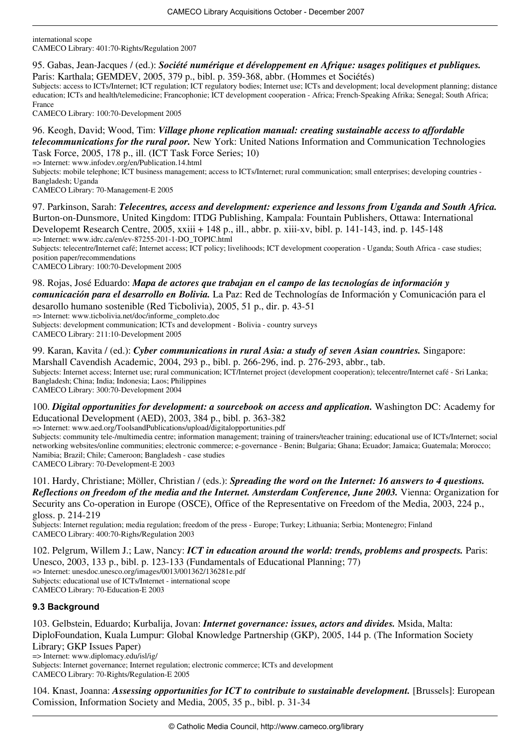international scope CAMECO Library: 401:70-Rights/Regulation 2007

95. Gabas, Jean-Jacques / (ed.): *Société numérique et développement en Afrique: usages politiques et publiques.*  Paris: Karthala; GEMDEV, 2005, 379 p., bibl. p. 359-368, abbr. (Hommes et Sociétés)

Subjects: access to ICTs/Internet; ICT regulation; ICT regulatory bodies; Internet use; ICTs and development; local development planning; distance education; ICTs and health/telemedicine; Francophonie; ICT development cooperation - Africa; French-Speaking Afrika; Senegal; South Africa; France

CAMECO Library: 100:70-Development 2005

96. Keogh, David; Wood, Tim: *Village phone replication manual: creating sustainable access to affordable telecommunications for the rural poor.* New York: United Nations Information and Communication Technologies Task Force, 2005, 178 p., ill. (ICT Task Force Series; 10)

=> Internet:<www.infodev.org/en/Publication.14.html>

Subjects: mobile telephone; ICT business management; access to ICTs/Internet; rural communication; small enterprises; developing countries - Bangladesh; Uganda

CAMECO Library: 70-Management-E 2005

97. Parkinson, Sarah: *Telecentres, access and development: experience and lessons from Uganda and South Africa.*  Burton-on-Dunsmore, United Kingdom: ITDG Publishing, Kampala: Fountain Publishers, Ottawa: International Developemt Research Centre, 2005, xxiii + 148 p., ill., abbr. p. xiii-xv, bibl. p. 141-143, ind. p. 145-148

=> Internet: [www.idrc.ca/en/ev-87255-201-1-DO\\_TOPIC.html](www.idrc.ca/en/ev-87255-201-1-DO_TOPIC.html) Subjects: telecentre/Internet café; Internet access; ICT policy; livelihoods; ICT development cooperation - Uganda; South Africa - case studies; position paper/recommendations

CAMECO Library: 100:70-Development 2005

98. Rojas, José Eduardo: *Mapa de actores que trabajan en el campo de las tecnologías de información y comunicación para el desarrollo en Bolivia.* La Paz: Red de Technologías de Información y Comunicación para el desarollo humano sostenible (Red Ticbolivia), 2005, 51 p., dir. p. 43-51

=> Internet: [www.ticbolivia.net/doc/informe\\_completo.doc](www.ticbolivia.net/doc/informe_completo.doc)

Subjects: development communication; ICTs and development - Bolivia - country surveys

CAMECO Library: 211:10-Development 2005

99. Karan, Kavita / (ed.): *Cyber communications in rural Asia: a study of seven Asian countries.* Singapore: Marshall Cavendish Academic, 2004, 293 p., bibl. p. 266-296, ind. p. 276-293, abbr., tab. Subjects: Internet access; Internet use; rural communication; ICT/Internet project (development cooperation); telecentre/Internet café - Sri Lanka;

Bangladesh; China; India; Indonesia; Laos; Philippines CAMECO Library: 300:70-Development 2004

100. *Digital opportunities for development: a sourcebook on access and application.* Washington DC: Academy for Educational Development (AED), 2003, 384 p., bibl. p. 363-382

=> Internet:<www.aed.org/ToolsandPublications/upload/digitalopportunities.pdf>

Subjects: community tele-/multimedia centre; information management; training of trainers/teacher training; educational use of ICTs/Internet; social networking websites/online communities; electronic commerce; e-governance - Benin; Bulgaria; Ghana; Ecuador; Jamaica; Guatemala; Morocco; Namibia; Brazil; Chile; Cameroon; Bangladesh - case studies

CAMECO Library: 70-Development-E 2003

101. Hardy, Christiane; Möller, Christian / (eds.): *Spreading the word on the Internet: 16 answers to 4 questions. Reflections on freedom of the media and the Internet. Amsterdam Conference, June 2003.* Vienna: Organization for Security ans Co-operation in Europe (OSCE), Office of the Representative on Freedom of the Media, 2003, 224 p., gloss. p. 214-219

Subjects: Internet regulation; media regulation; freedom of the press - Europe; Turkey; Lithuania; Serbia; Montenegro; Finland CAMECO Library: 400:70-Righs/Regulation 2003

102. Pelgrum, Willem J.; Law, Nancy: *ICT in education around the world: trends, problems and prospects.* Paris: Unesco, 2003, 133 p., bibl. p. 123-133 (Fundamentals of Educational Planning; 77) => Internet: unesdoc.unesco.org/images/0013/001362/136281e.pdf Subjects: educational use of ICTs/Internet - international scope CAMECO Library: 70-Education-E 2003

### **9.3 Background**

103. Gelbstein, Eduardo; Kurbalija, Jovan: *Internet governance: issues, actors and divides.* Msida, Malta: DiploFoundation, Kuala Lumpur: Global Knowledge Partnership (GKP), 2005, 144 p. (The Information Society Library; GKP Issues Paper)

=> Internet:<www.diplomacy.edu/isl/ig/>

Subjects: Internet governance; Internet regulation; electronic commerce; ICTs and development CAMECO Library: 70-Rights/Regulation-E 2005

104. Knast, Joanna: *Assessing opportunities for ICT to contribute to sustainable development*. [Brussels]: European Comission, Information Society and Media, 2005, 35 p., bibl. p. 31-34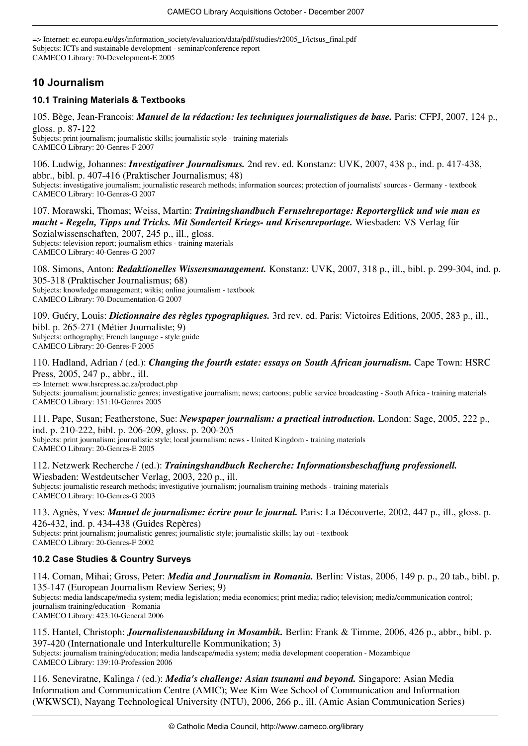=> Internet: ec.europa.eu/dgs/information\_society/evaluation/data/pdf/studies/r2005\_1/ictsus\_final.pdf Subjects: ICTs and sustainable development - seminar/conference report CAMECO Library: 70-Development-E 2005

## **10 Journalism**

### **10.1 Training Materials & Textbooks**

CAMECO Library: 20-Genres-F 2007

105. Bège, Jean-Francois: *Manuel de la rédaction: les techniques journalistiques de base.* Paris: CFPJ, 2007, 124 p., gloss. p. 87-122 Subjects: print journalism; journalistic skills; journalistic style - training materials

106. Ludwig, Johannes: *Investigativer Journalismus.* 2nd rev. ed. Konstanz: UVK, 2007, 438 p., ind. p. 417-438, abbr., bibl. p. 407-416 (Praktischer Journalismus; 48) Subjects: investigative journalism; journalistic research methods; information sources; protection of journalists' sources - Germany - textbook CAMECO Library: 10-Genres-G 2007

107. Morawski, Thomas; Weiss, Martin: *Trainingshandbuch Fernsehreportage: Reporterglück und wie man es macht - Regeln, Tipps und Tricks. Mit Sonderteil Kriegs- und Krisenreportage.* Wiesbaden: VS Verlag für

Sozialwissenschaften, 2007, 245 p., ill., gloss. Subjects: television report; journalism ethics - training materials CAMECO Library: 40-Genres-G 2007

108. Simons, Anton: *Redaktionelles Wissensmanagement.* Konstanz: UVK, 2007, 318 p., ill., bibl. p. 299-304, ind. p. 305-318 (Praktischer Journalismus; 68) Subjects: knowledge management; wikis; online journalism - textbook CAMECO Library: 70-Documentation-G 2007

109. Guéry, Louis: *Dictionnaire des règles typographiques.* 3rd rev. ed. Paris: Victoires Editions, 2005, 283 p., ill., bibl. p. 265-271 (Métier Journaliste; 9) Subjects: orthography; French language - style guide CAMECO Library: 20-Genres-F 2005

110. Hadland, Adrian / (ed.): *Changing the fourth estate: essays on South African journalism.* Cape Town: HSRC Press, 2005, 247 p., abbr., ill. => Internet:<www.hsrcpress.ac.za/product.php> Subjects: journalism; journalistic genres; investigative journalism; news; cartoons; public service broadcasting - South Africa - training materials CAMECO Library: 151:10-Genres 2005

111. Pape, Susan; Featherstone, Sue: *Newspaper journalism: a practical introduction.* London: Sage, 2005, 222 p., ind. p. 210-222, bibl. p. 206-209, gloss. p. 200-205 Subjects: print journalism; journalistic style; local journalism; news - United Kingdom - training materials CAMECO Library: 20-Genres-E 2005

112. Netzwerk Recherche / (ed.): *Trainingshandbuch Recherche: Informationsbeschaffung professionell.*  Wiesbaden: Westdeutscher Verlag, 2003, 220 p., ill. Subjects: journalistic research methods; investigative journalism; journalism training methods - training materials CAMECO Library: 10-Genres-G 2003

113. Agnès, Yves: *Manuel de journalisme: écrire pour le journal.* Paris: La Découverte, 2002, 447 p., ill., gloss. p. 426-432, ind. p. 434-438 (Guides Repères) Subjects: print journalism; journalistic genres; journalistic style; journalistic skills; lay out - textbook CAMECO Library: 20-Genres-F 2002

### **10.2 Case Studies & Country Surveys**

114. Coman, Mihai; Gross, Peter: *Media and Journalism in Romania.* Berlin: Vistas, 2006, 149 p. p., 20 tab., bibl. p. 135-147 (European Journalism Review Series; 9) Subjects: media landscape/media system; media legislation; media economics; print media; radio; television; media/communication control; journalism training/education - Romania CAMECO Library: 423:10-General 2006

115. Hantel, Christoph: *Journalistenausbildung in Mosambik.* Berlin: Frank & Timme, 2006, 426 p., abbr., bibl. p. 397-420 (Internationale und Interkulturelle Kommunikation; 3) Subjects: journalism training/education; media landscape/media system; media development cooperation - Mozambique CAMECO Library: 139:10-Profession 2006

116. Seneviratne, Kalinga / (ed.): *Media's challenge: Asian tsunami and beyond.* Singapore: Asian Media Information and Communication Centre (AMIC); Wee Kim Wee School of Communication and Information (WKWSCI), Nayang Technological University (NTU), 2006, 266 p., ill. (Amic Asian Communication Series)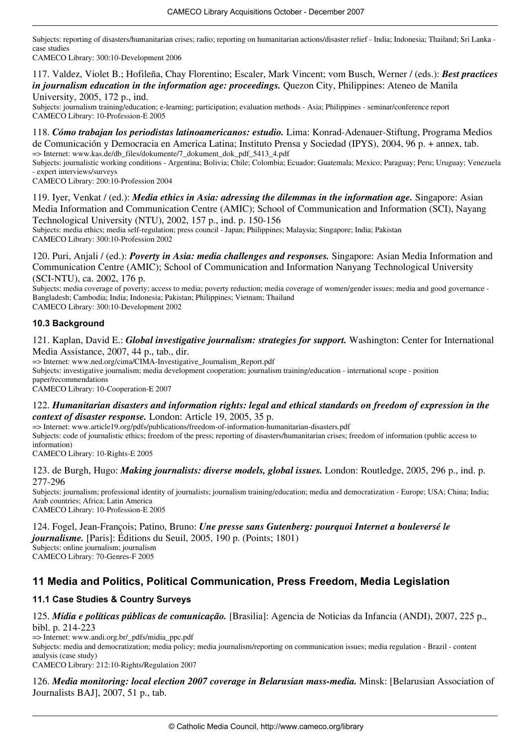Subjects: reporting of disasters/humanitarian crises; radio; reporting on humanitarian actions/disaster relief - India; Indonesia; Thailand; Sri Lanka case studies

CAMECO Library: 300:10-Development 2006

117. Valdez, Violet B.; Hofileña, Chay Florentino; Escaler, Mark Vincent; vom Busch, Werner / (eds.): *Best practices* in journalism education in the information age: proceedings. Quezon City, Philippines: Ateneo de Manila University, 2005, 172 p., ind.

Subjects: journalism training/education; e-learning; participation; evaluation methods - Asia; Philippines - seminar/conference report CAMECO Library: 10-Profession-E 2005

118. *Cómo trabajan los periodistas latinoamericanos: estudio.* Lima: Konrad-Adenauer-Stiftung, Programa Medios de Comunicación y Democracia en America Latina; Instituto Prensa y Sociedad (IPYS), 2004, 96 p. + annex, tab. => Internet: [www.kas.de/db\\_files/dokumente/7\\_dokument\\_dok\\_pdf\\_5413\\_4.pdf](www.kas.de/db_files/dokumente/7_dokument_dok_pdf_5413_4.pdf)

Subjects: journalistic working conditions - Argentina; Bolivia; Chile; Colombia; Ecuador; Guatemala; Mexico; Paraguay; Peru; Uruguay; Venezuela - expert interviews/surveys

CAMECO Library: 200:10-Profession 2004

119. Iyer, Venkat / (ed.): *Media ethics in Asia: adressing the dilemmas in the information age.* Singapore: Asian Media Information and Communication Centre (AMIC); School of Communication and Information (SCI), Nayang Technological University (NTU), 2002, 157 p., ind. p. 150-156

Subjects: media ethics; media self-regulation; press council - Japan; Philippines; Malaysia; Singapore; India; Pakistan CAMECO Library: 300:10-Profession 2002

120. Puri, Anjali / (ed.): *Poverty in Asia: media challenges and responses.* Singapore: Asian Media Information and Communication Centre (AMIC); School of Communication and Information Nanyang Technological University (SCI-NTU), ca. 2002, 176 p.

Subjects: media coverage of poverty; access to media; poverty reduction; media coverage of women/gender issues; media and good governance - Bangladesh; Cambodia; India; Indonesia; Pakistan; Philippines; Vietnam; Thailand CAMECO Library: 300:10-Development 2002

#### **10.3 Background**

121. Kaplan, David E.: *Global investigative journalism: strategies for support.* Washington: Center for International Media Assistance, 2007, 44 p., tab., dir.

=> Internet: [www.ned.org/cima/CIMA-Investigative\\_Journalism\\_Report.pdf](www.ned.org/cima/CIMA-Investigative_Journalism_Report.pdf) Subjects: investigative journalism; media development cooperation; journalism training/education - international scope - position paper/recommendations

CAMECO Library: 10-Cooperation-E 2007

#### 122. *Humanitarian disasters and information rights: legal and ethical standards on freedom of expression in the context of disaster response.* London: Article 19, 2005, 35 p.

=> Internet:<www.article19.org/pdfs/publications/freedom-of-information-humanitarian-disasters.pdf> Subjects: code of journalistic ethics; freedom of the press; reporting of disasters/humanitarian crises; freedom of information (public access to information)

CAMECO Library: 10-Rights-E 2005

123. de Burgh, Hugo: *Making journalists: diverse models, global issues.* London: Routledge, 2005, 296 p., ind. p. 277-296

Subjects: journalism; professional identity of journalists; journalism training/education; media and democratization - Europe; USA; China; India; Arab countries; Africa; Latin America CAMECO Library: 10-Profession-E 2005

124. Fogel, Jean-François; Patino, Bruno: *Une presse sans Gutenberg: pourquoi Internet a bouleversé le journalisme.* [Paris]: Éditions du Seuil, 2005, 190 p. (Points; 1801) Subjects: online journalism; journalism CAMECO Library: 70-Genres-F 2005

## **11 Media and Politics, Political Communication, Press Freedom, Media Legislation**

#### **11.1 Case Studies & Country Surveys**

125. *Mídia e políticas públicas de comunicação.* [Brasilia]: Agencia de Noticias da Infancia (ANDI), 2007, 225 p., bibl. p. 214-223

=> Internet: [www.andi.org.br/\\_pdfs/midia\\_ppc.pdf](www.andi.org.br/_pdfs/midia_ppc.pdf) Subjects: media and democratization; media policy; media journalism/reporting on communication issues; media regulation - Brazil - content analysis (case study) CAMECO Library: 212:10-Rights/Regulation 2007

126. *Media monitoring: local election 2007 coverage in Belarusian mass-media.* Minsk: [Belarusian Association of Journalists BAJ], 2007, 51 p., tab.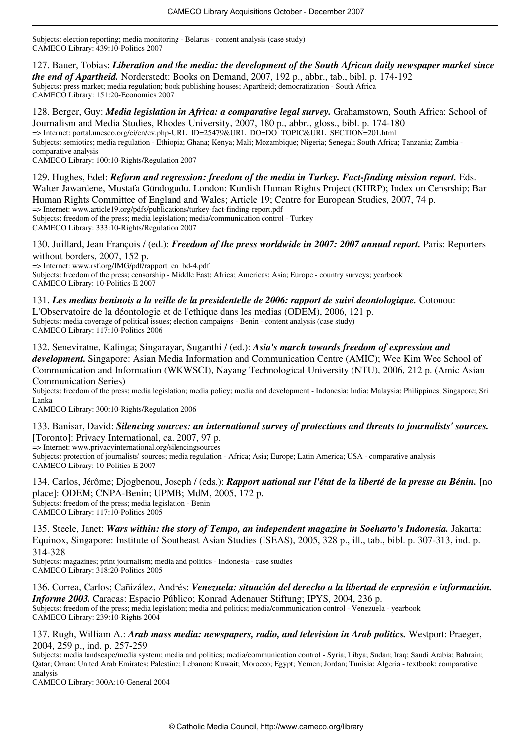Subjects: election reporting; media monitoring - Belarus - content analysis (case study) CAMECO Library: 439:10-Politics 2007

127. Bauer, Tobias: *Liberation and the media: the development of the South African daily newspaper market since the end of Apartheid.* Norderstedt: Books on Demand, 2007, 192 p., abbr., tab., bibl. p. 174-192 Subjects: press market; media regulation; book publishing houses; Apartheid; democratization - South Africa CAMECO Library: 151:20-Economics 2007

128. Berger, Guy: *Media legislation in Africa: a comparative legal survey*. Grahamstown, South Africa: School of Journalism and Media Studies, Rhodes University, 2007, 180 p., abbr., gloss., bibl. p. 174-180 => Internet: portal.unesco.org/ci/en/ev.php-URL\_ID=25479&URL\_DO=DO\_TOPIC&URL\_SECTION=201.html Subjects: semiotics; media regulation - Ethiopia; Ghana; Kenya; Mali; Mozambique; Nigeria; Senegal; South Africa; Tanzania; Zambia comparative analysis

CAMECO Library: 100:10-Rights/Regulation 2007

129. Hughes, Edel: *Reform and regression: freedom of the media in Turkey. Fact-finding mission report.* Eds. Walter Jawardene, Mustafa Gündogudu. London: Kurdish Human Rights Project (KHRP); Index on Censrship; Bar Human Rights Committee of England and Wales; Article 19; Centre for European Studies, 2007, 74 p. => Internet:<www.article19.org/pdfs/publications/turkey-fact-finding-report.pdf> Subjects: freedom of the press; media legislation; media/communication control - Turkey

CAMECO Library: 333:10-Rights/Regulation 2007

130. Juillard, Jean François / (ed.): *Freedom of the press worldwide in 2007: 2007 annual report*. Paris: Reporters without borders, 2007, 152 p.

=> Internet: [www.rsf.org/IMG/pdf/rapport\\_en\\_bd-4.pdf](www.rsf.org/IMG/pdf/rapport_en_bd-4.pdf) Subjects: freedom of the press; censorship - Middle East; Africa; Americas; Asia; Europe - country surveys; yearbook CAMECO Library: 10-Politics-E 2007

131. *Les medias beninois a la veille de la presidentelle de 2006: rapport de suivi deontologique.* Cotonou:

L'Observatoire de la déontologie et de l'ethique dans les medias (ODEM), 2006, 121 p. Subjects: media coverage of political issues; election campaigns - Benin - content analysis (case study) CAMECO Library: 117:10-Politics 2006

132. Seneviratne, Kalinga; Singarayar, Suganthi / (ed.): *Asia's march towards freedom of expression and development.* Singapore: Asian Media Information and Communication Centre (AMIC); Wee Kim Wee School of Communication and Information (WKWSCI), Nayang Technological University (NTU), 2006, 212 p. (Amic Asian Communication Series)

Subjects: freedom of the press; media legislation; media policy; media and development - Indonesia; India; Malaysia; Philippines; Singapore; Sri Lanka

CAMECO Library: 300:10-Rights/Regulation 2006

133. Banisar, David: *Silencing sources: an international survey of protections and threats to journalists' sources.*  [Toronto]: Privacy International, ca. 2007, 97 p.

=> Internet:<www.privacyinternational.org/silencingsources> Subjects: protection of journalists' sources; media regulation - Africa; Asia; Europe; Latin America; USA - comparative analysis CAMECO Library: 10-Politics-E 2007

134. Carlos, Jérôme; Djogbenou, Joseph / (eds.): *Rapport national sur l'état de la liberté de la presse au Bénin*. [no place]: ODEM; CNPA-Benin; UPMB; MdM, 2005, 172 p. Subjects: freedom of the press; media legislation - Benin CAMECO Library: 117:10-Politics 2005

135. Steele, Janet: *Wars within: the story of Tempo, an independent magazine in Soeharto's Indonesia.* Jakarta: Equinox, Singapore: Institute of Southeast Asian Studies (ISEAS), 2005, 328 p., ill., tab., bibl. p. 307-313, ind. p. 314-328

Subjects: magazines; print journalism; media and politics - Indonesia - case studies CAMECO Library: 318:20-Politics 2005

136. Correa, Carlos; Cañizález, Andrés: *Venezuela: situación del derecho a la libertad de expresión e información. Informe 2003.* Caracas: Espacio Público; Konrad Adenauer Stiftung; IPYS, 2004, 236 p.

Subjects: freedom of the press; media legislation; media and politics; media/communication control - Venezuela - yearbook CAMECO Library: 239:10-Rights 2004

137. Rugh, William A.: *Arab mass media: newspapers, radio, and television in Arab politics.* Westport: Praeger, 2004, 259 p., ind. p. 257-259

Subjects: media landscape/media system; media and politics; media/communication control - Syria; Libya; Sudan; Iraq; Saudi Arabia; Bahrain; Qatar; Oman; United Arab Emirates; Palestine; Lebanon; Kuwait; Morocco; Egypt; Yemen; Jordan; Tunisia; Algeria - textbook; comparative analysis

CAMECO Library: 300A:10-General 2004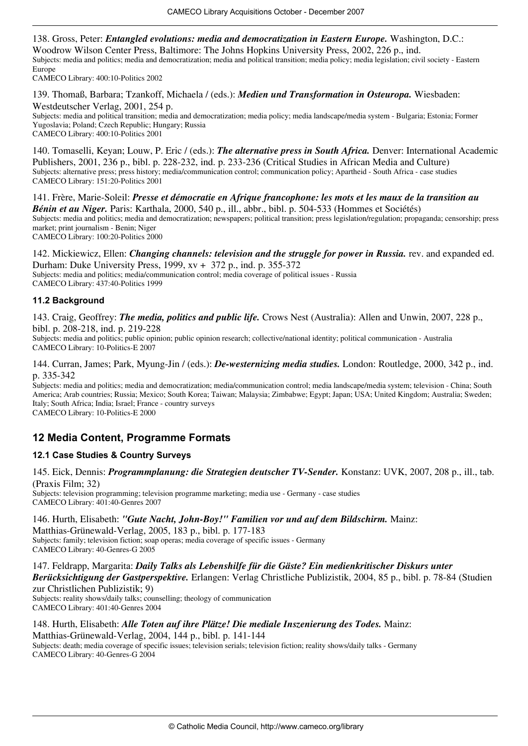138. Gross, Peter: *Entangled evolutions: media and democratization in Eastern Europe.* Washington, D.C.: Woodrow Wilson Center Press, Baltimore: The Johns Hopkins University Press, 2002, 226 p., ind. Subjects: media and politics; media and democratization; media and political transition; media policy; media legislation; civil society - Eastern Europe CAMECO Library: 400:10-Politics 2002

139. Thomaß, Barbara; Tzankoff, Michaela / (eds.): *Medien und Transformation in Osteuropa.* Wiesbaden: Westdeutscher Verlag, 2001, 254 p. Subjects: media and political transition; media and democratization; media policy; media landscape/media system - Bulgaria; Estonia; Former Yugoslavia; Poland; Czech Republic; Hungary; Russia CAMECO Library: 400:10-Politics 2001

140. Tomaselli, Keyan; Louw, P. Eric / (eds.): *The alternative press in South Africa.* Denver: International Academic Publishers, 2001, 236 p., bibl. p. 228-232, ind. p. 233-236 (Critical Studies in African Media and Culture) Subjects: alternative press; press history; media/communication control; communication policy; Apartheid - South Africa - case studies CAMECO Library: 151:20-Politics 2001

141. Frère, Marie-Soleil: *Presse et démocratie en Afrique francophone: les mots et les maux de la transition au Bénin et au Niger.* Paris: Karthala, 2000, 540 p., ill., abbr., bibl. p. 504-533 (Hommes et Sociétés) Subjects: media and politics; media and democratization; newspapers; political transition; press legislation/regulation; propaganda; censorship; press market; print journalism - Benin; Niger CAMECO Library: 100:20-Politics 2000

142. Mickiewicz, Ellen: *Changing channels: television and the struggle for power in Russia.* rev. and expanded ed. Durham: Duke University Press, 1999, xv + 372 p., ind. p. 355-372 Subjects: media and politics; media/communication control; media coverage of political issues - Russia CAMECO Library: 437:40-Politics 1999

#### **11.2 Background**

143. Craig, Geoffrey: *The media, politics and public life.* Crows Nest (Australia): Allen and Unwin, 2007, 228 p., bibl. p. 208-218, ind. p. 219-228

Subjects: media and politics; public opinion; public opinion research; collective/national identity; political communication - Australia CAMECO Library: 10-Politics-E 2007

144. Curran, James; Park, Myung-Jin / (eds.): *De-westernizing media studies.* London: Routledge, 2000, 342 p., ind. p. 335-342

Subjects: media and politics; media and democratization; media/communication control; media landscape/media system; television - China; South America; Arab countries; Russia; Mexico; South Korea; Taiwan; Malaysia; Zimbabwe; Egypt; Japan; USA; United Kingdom; Australia; Sweden; Italy; South Africa; India; Israel; France - country surveys

CAMECO Library: 10-Politics-E 2000

## **12 Media Content, Programme Formats**

### **12.1 Case Studies & Country Surveys**

145. Eick, Dennis: *Programmplanung: die Strategien deutscher TV-Sender.* Konstanz: UVK, 2007, 208 p., ill., tab. (Praxis Film; 32) Subjects: television programming; television programme marketing; media use - Germany - case studies CAMECO Library: 401:40-Genres 2007

146. Hurth, Elisabeth: *"Gute Nacht, John-Boy!" Familien vor und auf dem Bildschirm.* Mainz:

Matthias-Grünewald-Verlag, 2005, 183 p., bibl. p. 177-183 Subjects: family; television fiction; soap operas; media coverage of specific issues - Germany CAMECO Library: 40-Genres-G 2005

147. Feldrapp, Margarita: *Daily Talks als Lebenshilfe für die Gäste? Ein medienkritischer Diskurs unter*

*Berücksichtigung der Gastperspektive.* Erlangen: Verlag Christliche Publizistik, 2004, 85 p., bibl. p. 78-84 (Studien zur Christlichen Publizistik; 9)

Subjects: reality shows/daily talks; counselling; theology of communication CAMECO Library: 401:40-Genres 2004

#### 148. Hurth, Elisabeth: *Alle Toten auf ihre Plätze! Die mediale Inszenierung des Todes.* Mainz: Matthias-Grünewald-Verlag, 2004, 144 p., bibl. p. 141-144

Subjects: death; media coverage of specific issues; television serials; television fiction; reality shows/daily talks - Germany CAMECO Library: 40-Genres-G 2004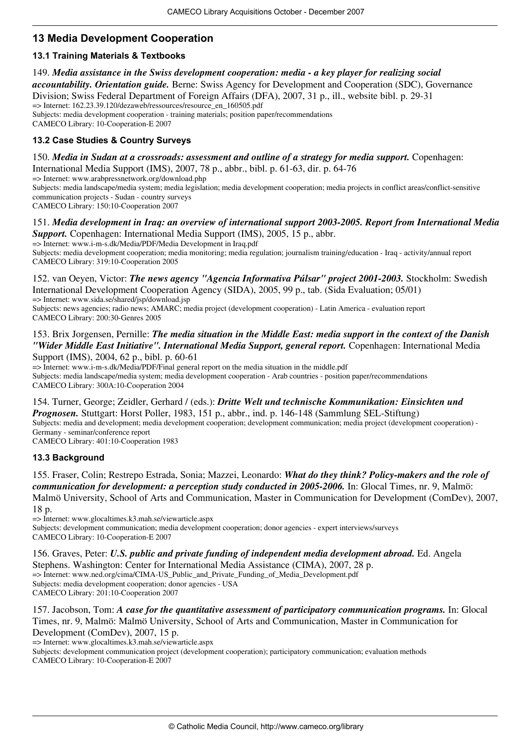## **13 Media Development Cooperation**

### **13.1 Training Materials & Textbooks**

#### 149. *Media assistance in the Swiss development cooperation: media - a key player for realizing social*

*accountability. Orientation guide.* Berne: Swiss Agency for Development and Cooperation (SDC), Governance Division; Swiss Federal Department of Foreign Affairs (DFA), 2007, 31 p., ill., website bibl. p. 29-31 => Internet: 162.23.39.120/dezaweb/ressources/resource\_en\_160505.pdf Subjects: media development cooperation - training materials; position paper/recommendations

CAMECO Library: 10-Cooperation-E 2007

### **13.2 Case Studies & Country Surveys**

#### 150. *Media in Sudan at a crossroads: assessment and outline of a strategy for media support.* Copenhagen:

International Media Support (IMS), 2007, 78 p., abbr., bibl. p. 61-63, dir. p. 64-76 => Internet:<www.arabpressnetwork.org/download.php> Subjects: media landscape/media system; media legislation; media development cooperation; media projects in conflict areas/conflict-sensitive communication projects - Sudan - country surveys CAMECO Library: 150:10-Cooperation 2007

#### 151. *Media development in Iraq: an overview of international support 2003-2005. Report from International Media Support.* Copenhagen: International Media Support (IMS), 2005, 15 p., abbr.

=> Internet:<www.i-m-s.dk/Media/PDF/Media>Development in Iraq.pdf Subjects: media development cooperation; media monitoring; media regulation; journalism training/education - Iraq - activity/annual report CAMECO Library: 319:10-Cooperation 2005

152. van Oeyen, Victor: *The news agency "Agencia Informativa Púlsar" project 2001-2003.* Stockholm: Swedish International Development Cooperation Agency (SIDA), 2005, 99 p., tab. (Sida Evaluation; 05/01) => Internet:<www.sida.se/shared/jsp/download.jsp>

Subjects: news agencies; radio news; AMARC; media project (development cooperation) - Latin America - evaluation report CAMECO Library: 200:30-Genres 2005

#### 153. Brix Jorgensen, Pernille: *The media situation in the Middle East: media support in the context of the Danish "Wider Middle East Initiative". International Media Support, general report.* Copenhagen: International Media Support (IMS), 2004, 62 p., bibl. p. 60-61

=> Internet:<www.i-m-s.dk/Media/PDF/Final>general report on the media situation in the middle.pdf Subjects: media landscape/media system; media development cooperation - Arab countries - position paper/recommendations CAMECO Library: 300A:10-Cooperation 2004

154. Turner, George; Zeidler, Gerhard / (eds.): *Dritte Welt und technische Kommunikation: Einsichten und Prognosen.* Stuttgart: Horst Poller, 1983, 151 p., abbr., ind. p. 146-148 (Sammlung SEL-Stiftung) Subjects: media and development; media development cooperation; development communication; media project (development cooperation) - Germany - seminar/conference report

CAMECO Library: 401:10-Cooperation 1983

### **13.3 Background**

155. Fraser, Colin; Restrepo Estrada, Sonia; Mazzei, Leonardo: *What do they think? Policy-makers and the role of communication for development: a perception study conducted in 2005-2006.* In: Glocal Times, nr. 9, Malmö: Malmö University, School of Arts and Communication, Master in Communication for Development (ComDev), 2007, 18 p.

=> Internet: <www.glocaltimes.k3.mah.se/viewarticle.aspx> Subjects: development communication; media development cooperation; donor agencies - expert interviews/surveys CAMECO Library: 10-Cooperation-E 2007

156. Graves, Peter: *U.S. public and private funding of independent media development abroad.* Ed. Angela Stephens. Washington: Center for International Media Assistance (CIMA), 2007, 28 p. => Internet: [www.ned.org/cima/CIMA-US\\_Public\\_and\\_Private\\_Funding\\_of\\_Media\\_Development.pdf](www.ned.org/cima/CIMA-US_Public_and_Private_Funding_of_Media_Development.pdf) Subjects: media development cooperation; donor agencies - USA CAMECO Library: 201:10-Cooperation 2007

157. Jacobson, Tom: *A case for the quantitative assessment of participatory communication programs.* In: Glocal Times, nr. 9, Malmö: Malmö University, School of Arts and Communication, Master in Communication for Development (ComDev), 2007, 15 p.

=> Internet: <www.glocaltimes.k3.mah.se/viewarticle.aspx>

Subjects: development communication project (development cooperation); participatory communication; evaluation methods CAMECO Library: 10-Cooperation-E 2007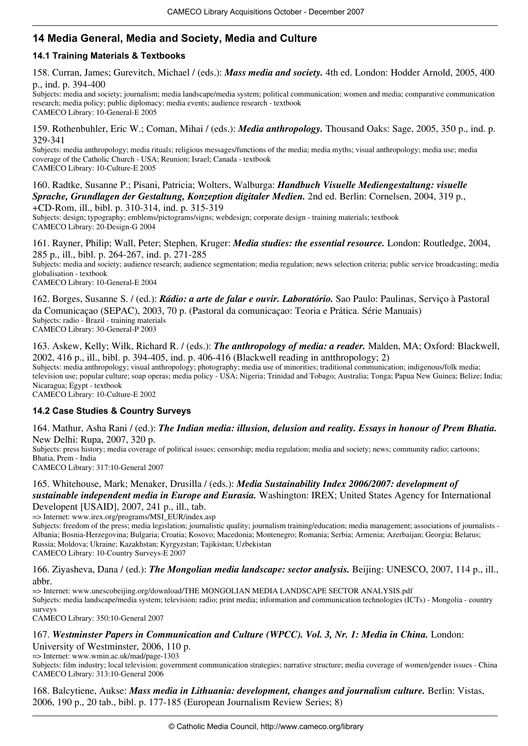## **14 Media General, Media and Society, Media and Culture**

### **14.1 Training Materials & Textbooks**

158. Curran, James; Gurevitch, Michael / (eds.): *Mass media and society.* 4th ed. London: Hodder Arnold, 2005, 400 p., ind. p. 394-400

Subjects: media and society; journalism; media landscape/media system; political communication; women and media; comparative communication research; media policy; public diplomacy; media events; audience research - textbook CAMECO Library: 10-General-E 2005

159. Rothenbuhler, Eric W.; Coman, Mihai / (eds.): *Media anthropology.* Thousand Oaks: Sage, 2005, 350 p., ind. p. 329-341

Subjects: media anthropology; media rituals; religious messages/functions of the media; media myths; visual anthropology; media use; media coverage of the Catholic Church - USA; Reunion; Israel; Canada - textbook CAMECO Library: 10-Culture-E 2005

160. Radtke, Susanne P.; Pisani, Patricia; Wolters, Walburga: *Handbuch Visuelle Mediengestaltung: visuelle Sprache, Grundlagen der Gestaltung, Konzeption digitaler Medien.* 2nd ed. Berlin: Cornelsen, 2004, 319 p., +CD-Rom, ill., bibl. p. 310-314, ind. p. 315-319

Subjects: design; typography; emblems/pictograms/signs; webdesign; corporate design - training materials; textbook CAMECO Library: 20-Design-G 2004

161. Rayner, Philip; Wall, Peter; Stephen, Kruger: *Media studies: the essential resource.* London: Routledge, 2004, 285 p., ill., bibl. p. 264-267, ind. p. 271-285 Subjects: media and society; audience research; audience segmentation; media regulation; news selection criteria; public service broadcasting; media globalisation - textbook

CAMECO Library: 10-General-E 2004

162. Borges, Susanne S. / (ed.): *Rádio: a arte de falar e ouvir. Laboratório.* Sao Paulo: Paulinas, Serviço à Pastoral da Comunicaçao (SEPAC), 2003, 70 p. (Pastoral da comunicaçao: Teoria e Prática. Série Manuais) Subjects: radio - Brazil - training materials CAMECO Library: 30-General-P 2003

163. Askew, Kelly; Wilk, Richard R. / (eds.): *The anthropology of media: a reader.* Malden, MA; Oxford: Blackwell, 2002, 416 p., ill., bibl. p. 394-405, ind. p. 406-416 (Blackwell reading in antthropology; 2) Subjects: media anthropology; visual anthropology; photography; media use of minorities; traditional communication; indigenous/folk media; television use; popular culture; soap operas; media policy - USA; Nigeria; Trinidad and Tobago; Australia; Tonga; Papua New Guinea; Belize; India; Nicaragua; Egypt - textbook

CAMECO Library: 10-Culture-E 2002

### **14.2 Case Studies & Country Surveys**

164. Mathur, Asha Rani / (ed.): *The Indian media: illusion, delusion and reality. Essays in honour of Prem Bhatia.*  New Delhi: Rupa, 2007, 320 p. Subjects: press history; media coverage of political issues; censorship; media regulation; media and society; news; community radio; cartoons; Bhatia, Prem - India

CAMECO Library: 317:10-General 2007

165. Whitehouse, Mark; Menaker, Drusilla / (eds.): *Media Sustainability Index 2006/2007: development of sustainable independent media in Europe and Eurasia.* Washington: IREX; United States Agency for International Developent [USAID], 2007, 241 p., ill., tab.

=> Internet: [www.irex.org/programs/MSI\\_EUR/index.asp](www.irex.org/programs/MSI_EUR/index.asp)

Subjects: freedom of the press; media legislation; journalistic quality; journalism training/education; media management; associations of journalists -Albania; Bosnia-Herzegovina; Bulgaria; Croatia; Kosovo; Macedonia; Montenegro; Romania; Serbia; Armenia; Azerbaijan; Georgia; Belarus; Russia; Moldova; Ukraine; Kazakhstan; Kyrgyzstan; Tajikistan; Uzbekistan CAMECO Library: 10-Country Surveys-E 2007

166. Ziyasheva, Dana / (ed.): *The Mongolian media landscape: sector analysis.* Beijing: UNESCO, 2007, 114 p., ill., abbr.

=> Internet: <www.unescobeijing.org/download/THE>MONGOLIAN MEDIA LANDSCAPE SECTOR ANALYSIS.pdf Subjects: media landscape/media system; television; radio; print media; information and communication technologies (ICTs) - Mongolia - country surveys

CAMECO Library: 350:10-General 2007

#### 167. *Westminster Papers in Communication and Culture (WPCC). Vol. 3, Nr. 1: Media in China.* London: University of Westminster, 2006, 110 p.

=> Internet:<www.wmin.ac.uk/mad/page-1303>

Subjects: film industry; local television; government communication strategies; narrative structure; media coverage of women/gender issues - China CAMECO Library: 313:10-General 2006

168. Balcytiene, Aukse: *Mass media in Lithuania: development, changes and journalism culture.* Berlin: Vistas, 2006, 190 p., 20 tab., bibl. p. 177-185 (European Journalism Review Series; 8)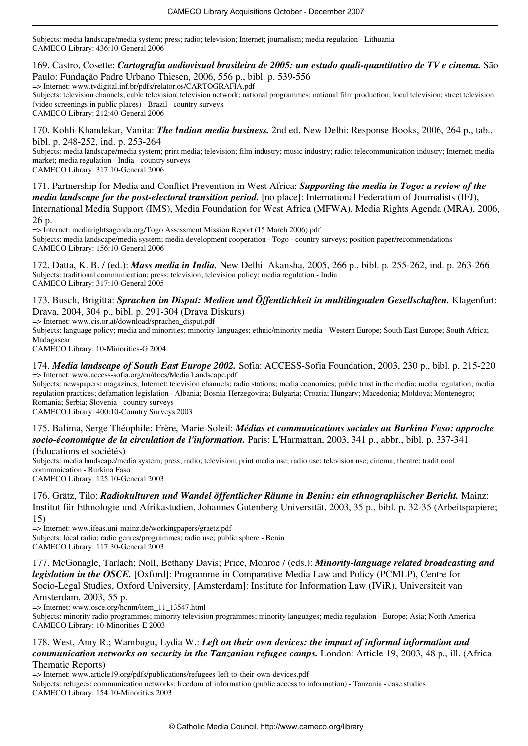Subjects: media landscape/media system; press; radio; television; Internet; journalism; media regulation - Lithuania CAMECO Library: 436:10-General 2006

#### 169. Castro, Cosette: *Cartografia audiovisual brasileira de 2005: um estudo quali-quantitativo de TV e cinema.* São Paulo: Fundação Padre Urbano Thiesen, 2006, 556 p., bibl. p. 539-556

=> Internet:<www.tvdigital.inf.br/pdfs/relatorios/CARTOGRAFIA.pdf> Subjects: television channels; cable television; television network; national programmes; national film production; local television; street television (video screenings in public places) - Brazil - country surveys

CAMECO Library: 212:40-General 2006

170. Kohli-Khandekar, Vanita: *The Indian media business.* 2nd ed. New Delhi: Response Books, 2006, 264 p., tab., bibl. p. 248-252, ind. p. 253-264

Subjects: media landscape/media system; print media; television; film industry; music industry; radio; telecommunication industry; Internet; media market; media regulation - India - country surveys

CAMECO Library: 317:10-General 2006

171. Partnership for Media and Conflict Prevention in West Africa: *Supporting the media in Togo: a review of the media landscape for the post-electoral transition period.* [no place]: International Federation of Journalists (IFJ), International Media Support (IMS), Media Foundation for West Africa (MFWA), Media Rights Agenda (MRA), 2006, 26 p.

=> Internet: mediarightsagenda.org/Togo Assessment Mission Report (15 March 2006).pdf Subjects: media landscape/media system; media development cooperation - Togo - country surveys; position paper/recommendations CAMECO Library: 156:10-General 2006

172. Datta, K. B. / (ed.): *Mass media in India.* New Delhi: Akansha, 2005, 266 p., bibl. p. 255-262, ind. p. 263-266 Subjects: traditional communication; press; television; television policy; media regulation - India CAMECO Library: 317:10-General 2005

173. Busch, Brigitta: *Sprachen im Disput: Medien und Öffentlichkeit in multilingualen Gesellschaften.* Klagenfurt: Drava, 2004, 304 p., bibl. p. 291-304 (Drava Diskurs)

=> Internet: [www.cis.or.at/download/sprachen\\_disput.pdf](www.cis.or.at/download/sprachen_disput.pdf)

Subjects: language policy; media and minorities; minority languages; ethnic/minority media - Western Europe; South East Europe; South Africa; Madagascar

CAMECO Library: 10-Minorities-G 2004

174. *Media landscape of South East Europe 2002.* Sofia: ACCESS-Sofia Foundation, 2003, 230 p., bibl. p. 215-220 => Internet:<www.access-sofia.org/en/docs/Media> Landscape.pdf

Subjects: newspapers; magazines; Internet; television channels; radio stations; media economics; public trust in the media; media regulation; media regulation practices; defamation legislation - Albania; Bosnia-Herzegovina; Bulgaria; Croatia; Hungary; Macedonia; Moldova; Montenegro; Romania; Serbia; Slovenia - country surveys

CAMECO Library: 400:10-Country Surveys 2003

175. Balima, Serge Théophile; Frère, Marie-Soleil: *Médias et communications sociales au Burkina Faso: approche socio-économique de la circulation de l'information.* Paris: L'Harmattan, 2003, 341 p., abbr., bibl. p. 337-341 (Éducations et sociétés)

Subjects: media landscape/media system; press; radio; television; print media use; radio use; television use; cinema; theatre; traditional communication - Burkina Faso CAMECO Library: 125:10-General 2003

176. Grätz, Tilo: *Radiokulturen und Wandel öffentlicher Räume in Benin: ein ethnographischer Bericht.* Mainz: Institut für Ethnologie und Afrikastudien, Johannes Gutenberg Universität, 2003, 35 p., bibl. p. 32-35 (Arbeitspapiere; 15)

=> Internet:<www.ifeas.uni-mainz.de/workingpapers/graetz.pdf>

Subjects: local radio; radio genres/programmes; radio use; public sphere - Benin CAMECO Library: 117:30-General 2003

177. McGonagle, Tarlach; Noll, Bethany Davis; Price, Monroe / (eds.): *Minority-language related broadcasting and legislation in the OSCE.* [Oxford]: Programme in Comparative Media Law and Policy (PCMLP), Centre for Socio-Legal Studies, Oxford University, [Amsterdam]: Institute for Information Law (IViR), Universiteit van Amsterdam, 2003, 55 p.

=> Internet: [www.osce.org/hcnm/item\\_11\\_13547.html](www.osce.org/hcnm/item_11_13547.html)

Subjects: minority radio programmes; minority television programmes; minority languages; media regulation - Europe; Asia; North America CAMECO Library: 10-Minorities-E 2003

#### 178. West, Amy R.; Wambugu, Lydia W.: *Left on their own devices: the impact of informal information and communication networks on security in the Tanzanian refugee camps.* London: Article 19, 2003, 48 p., ill. (Africa Thematic Reports)

=> Internet:<www.article19.org/pdfs/publications/refugees-left-to-their-own-devices.pdf>

Subjects: refugees; communication networks; freedom of information (public access to information) - Tanzania - case studies CAMECO Library: 154:10-Minorities 2003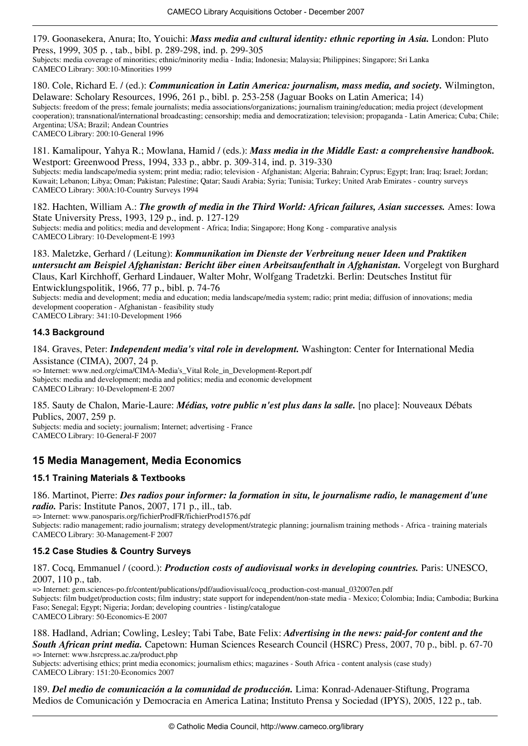179. Goonasekera, Anura; Ito, Youichi: *Mass media and cultural identity: ethnic reporting in Asia.* London: Pluto Press, 1999, 305 p. , tab., bibl. p. 289-298, ind. p. 299-305 Subjects: media coverage of minorities; ethnic/minority media - India; Indonesia; Malaysia; Philippines; Singapore; Sri Lanka

CAMECO Library: 300:10-Minorities 1999

180. Cole, Richard E. / (ed.): *Communication in Latin America: journalism, mass media, and society.* Wilmington, Delaware: Scholary Resources, 1996, 261 p., bibl. p. 253-258 (Jaguar Books on Latin America; 14) Subjects: freedom of the press; female journalists; media associations/organizations; journalism training/education; media project (development

cooperation); transnational/international broadcasting; censorship; media and democratization; television; propaganda - Latin America; Cuba; Chile; Argentina; USA; Brazil; Andean Countries CAMECO Library: 200:10-General 1996

181. Kamalipour, Yahya R.; Mowlana, Hamid / (eds.): *Mass media in the Middle East: a comprehensive handbook.*  Westport: Greenwood Press, 1994, 333 p., abbr. p. 309-314, ind. p. 319-330 Subjects: media landscape/media system; print media; radio; television - Afghanistan; Algeria; Bahrain; Cyprus; Egypt; Iran; Iraq; Israel; Jordan;

Kuwait; Lebanon; Libya; Oman; Pakistan; Palestine; Qatar; Saudi Arabia; Syria; Tunisia; Turkey; United Arab Emirates - country surveys CAMECO Library: 300A:10-Country Surveys 1994

182. Hachten, William A.: *The growth of media in the Third World: African failures, Asian successes.* Ames: Iowa State University Press, 1993, 129 p., ind. p. 127-129 Subjects: media and politics; media and development - Africa; India; Singapore; Hong Kong - comparative analysis CAMECO Library: 10-Development-E 1993

#### 183. Maletzke, Gerhard / (Leitung): *Kommunikation im Dienste der Verbreitung neuer Ideen und Praktiken untersucht am Beispiel Afghanistan: Bericht über einen Arbeitsaufenthalt in Afghanistan.* Vorgelegt von Burghard Claus, Karl Kirchhoff, Gerhard Lindauer, Walter Mohr, Wolfgang Tradetzki. Berlin: Deutsches Institut für

Entwicklungspolitik, 1966, 77 p., bibl. p. 74-76

Subjects: media and development; media and education; media landscape/media system; radio; print media; diffusion of innovations; media development cooperation - Afghanistan - feasibility study

CAMECO Library: 341:10-Development 1966

### **14.3 Background**

184. Graves, Peter: *Independent media's vital role in development.* Washington: Center for International Media Assistance (CIMA), 2007, 24 p.

=> Internet: [www.ned.org/cima/CIMA-Media's\\_Vital](www.ned.org/cima/CIMA-Media) Role\_in\_Development-Report.pdf Subjects: media and development; media and politics; media and economic development CAMECO Library: 10-Development-E 2007

185. Sauty de Chalon, Marie-Laure: *Médias, votre public n'est plus dans la salle.* [no place]: Nouveaux Débats Publics, 2007, 259 p.

Subjects: media and society; journalism; Internet; advertising - France CAMECO Library: 10-General-F 2007

## **15 Media Management, Media Economics**

### **15.1 Training Materials & Textbooks**

186. Martinot, Pierre: *Des radios pour informer: la formation in situ, le journalisme radio, le management d'une radio.* Paris: Institute Panos, 2007, 171 p., ill., tab.

=> Internet:<www.panosparis.org/fichierProdFR/fichierProd1576.pdf> Subjects: radio management; radio journalism; strategy development/strategic planning; journalism training methods - Africa - training materials CAMECO Library: 30-Management-F 2007

### **15.2 Case Studies & Country Surveys**

187. Cocq, Emmanuel / (coord.): *Production costs of audiovisual works in developing countries.* Paris: UNESCO, 2007, 110 p., tab.

=> Internet: gem.sciences-po.fr/content/publications/pdf/audiovisual/cocq\_production-cost-manual\_032007en.pdf Subjects: film budget/production costs; film industry; state support for independent/non-state media - Mexico; Colombia; India; Cambodia; Burkina Faso; Senegal; Egypt; Nigeria; Jordan; developing countries - listing/catalogue CAMECO Library: 50-Economics-E 2007

188. Hadland, Adrian; Cowling, Lesley; Tabi Tabe, Bate Felix: *Advertising in the news: paid-for content and the South African print media.* Capetown: Human Sciences Research Council (HSRC) Press, 2007, 70 p., bibl. p. 67-70 => Internet:<www.hsrcpress.ac.za/product.php>

Subjects: advertising ethics; print media economics; journalism ethics; magazines - South Africa - content analysis (case study) CAMECO Library: 151:20-Economics 2007

189. *Del medio de comunicación a la comunidad de producción.* Lima: Konrad-Adenauer-Stiftung, Programa Medios de Comunicación y Democracia en America Latina; Instituto Prensa y Sociedad (IPYS), 2005, 122 p., tab.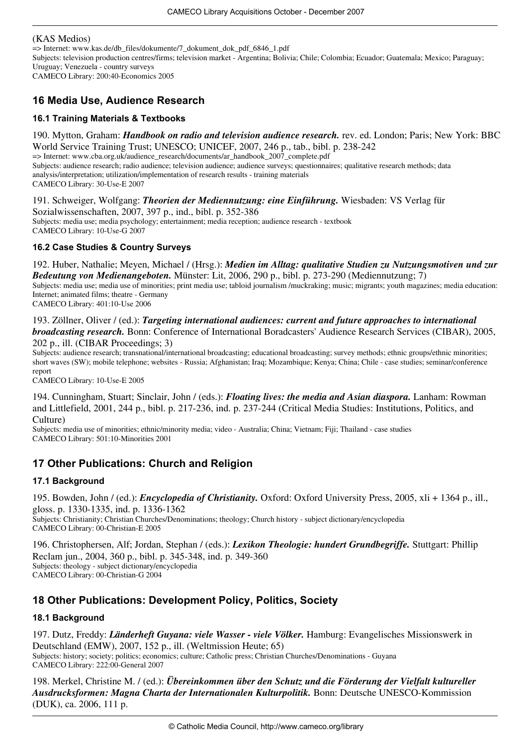#### (KAS Medios)

=> Internet: [www.kas.de/db\\_files/dokumente/7\\_dokument\\_dok\\_pdf\\_6846\\_1.pdf](www.kas.de/db_files/dokumente/7_dokument_dok_pdf_6846_1.pdf)

Subjects: television production centres/firms; television market - Argentina; Bolivia; Chile; Colombia; Ecuador; Guatemala; Mexico; Paraguay; Uruguay; Venezuela - country surveys

CAMECO Library: 200:40-Economics 2005

# **16 Media Use, Audience Research**

### **16.1 Training Materials & Textbooks**

190. Mytton, Graham: *Handbook on radio and television audience research.* rev. ed. London; Paris; New York: BBC World Service Training Trust; UNESCO; UNICEF, 2007, 246 p., tab., bibl. p. 238-242 => Internet: [www.cba.org.uk/audience\\_research/documents/ar\\_handbook\\_2007\\_complete.pdf](www.cba.org.uk/audience_research/documents/ar_handbook_2007_complete.pdf) Subjects: audience research; radio audience; television audience; audience surveys; questionnaires; qualitative research methods; data analysis/interpretation; utilization/implementation of research results - training materials CAMECO Library: 30-Use-E 2007

191. Schweiger, Wolfgang: *Theorien der Mediennutzung: eine Einführung.* Wiesbaden: VS Verlag für Sozialwissenschaften, 2007, 397 p., ind., bibl. p. 352-386 Subjects: media use; media psychology; entertainment; media reception; audience research - textbook CAMECO Library: 10-Use-G 2007

### **16.2 Case Studies & Country Surveys**

192. Huber, Nathalie; Meyen, Michael / (Hrsg.): *Medien im Alltag: qualitative Studien zu Nutzungsmotiven und zur Bedeutung von Medienangeboten.* Münster: Lit, 2006, 290 p., bibl. p. 273-290 (Mediennutzung; 7) Subjects: media use; media use of minorities; print media use; tabloid journalism /muckraking; music; migrants; youth magazines; media education: Internet; animated films; theatre - Germany CAMECO Library: 401:10-Use 2006

193. Zöllner, Oliver / (ed.): *Targeting international audiences: current and future approaches to international broadcasting research.* Bonn: Conference of International Boradcasters' Audience Research Services (CIBAR), 2005, 202 p., ill. (CIBAR Proceedings; 3)

Subjects: audience research; transnational/international broadcasting; educational broadcasting; survey methods; ethnic groups/ethnic minorities; short waves (SW); mobile telephone; websites - Russia; Afghanistan; Iraq; Mozambique; Kenya; China; Chile - case studies; seminar/conference report

CAMECO Library: 10-Use-E 2005

194. Cunningham, Stuart; Sinclair, John / (eds.): *Floating lives: the media and Asian diaspora.* Lanham: Rowman and Littlefield, 2001, 244 p., bibl. p. 217-236, ind. p. 237-244 (Critical Media Studies: Institutions, Politics, and Culture)

Subjects: media use of minorities; ethnic/minority media; video - Australia; China; Vietnam; Fiji; Thailand - case studies CAMECO Library: 501:10-Minorities 2001

## **17 Other Publications: Church and Religion**

### **17.1 Background**

195. Bowden, John / (ed.): *Encyclopedia of Christianity.* Oxford: Oxford University Press, 2005, xli + 1364 p., ill., gloss. p. 1330-1335, ind. p. 1336-1362 Subjects: Christianity; Christian Churches/Denominations; theology; Church history - subject dictionary/encyclopedia CAMECO Library: 00-Christian-E 2005

196. Christophersen, Alf; Jordan, Stephan / (eds.): *Lexikon Theologie: hundert Grundbegriffe.* Stuttgart: Phillip Reclam jun., 2004, 360 p., bibl. p. 345-348, ind. p. 349-360 Subjects: theology - subject dictionary/encyclopedia CAMECO Library: 00-Christian-G 2004

# **18 Other Publications: Development Policy, Politics, Society**

### **18.1 Background**

197. Dutz, Freddy: *Länderheft Guyana: viele Wasser - viele Völker.* Hamburg: Evangelisches Missionswerk in Deutschland (EMW), 2007, 152 p., ill. (Weltmission Heute; 65) Subjects: history; society; politics; economics; culture; Catholic press; Christian Churches/Denominations - Guyana CAMECO Library: 222:00-General 2007

198. Merkel, Christine M. / (ed.): *Übereinkommen über den Schutz und die Förderung der Vielfalt kultureller Ausdrucksformen: Magna Charta der Internationalen Kulturpolitik.* Bonn: Deutsche UNESCO-Kommission (DUK), ca. 2006, 111 p.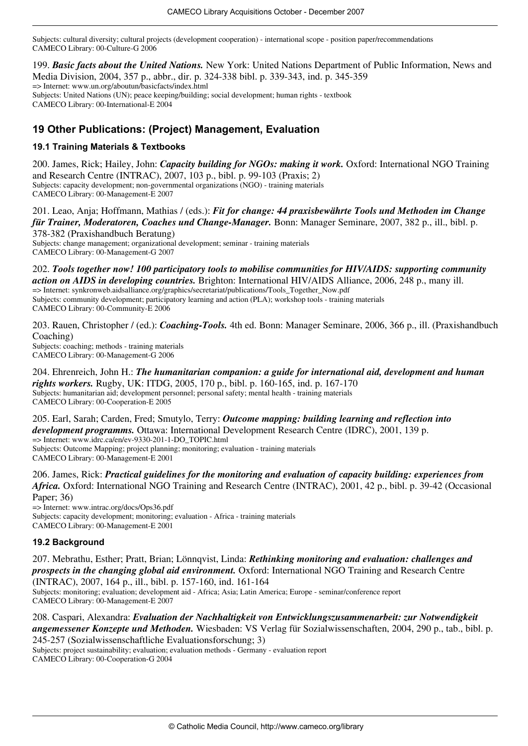Subjects: cultural diversity; cultural projects (development cooperation) - international scope - position paper/recommendations CAMECO Library: 00-Culture-G 2006

199. *Basic facts about the United Nations.* New York: United Nations Department of Public Information, News and Media Division, 2004, 357 p., abbr., dir. p. 324-338 bibl. p. 339-343, ind. p. 345-359 => Internet:<www.un.org/aboutun/basicfacts/index.html> Subjects: United Nations (UN); peace keeping/building; social development; human rights - textbook CAMECO Library: 00-International-E 2004

## **19 Other Publications: (Project) Management, Evaluation**

#### **19.1 Training Materials & Textbooks**

200. James, Rick; Hailey, John: *Capacity building for NGOs: making it work.* Oxford: International NGO Training and Research Centre (INTRAC), 2007, 103 p., bibl. p. 99-103 (Praxis; 2) Subjects: capacity development; non-governmental organizations (NGO) - training materials CAMECO Library: 00-Management-E 2007

201. Leao, Anja; Hoffmann, Mathias / (eds.): *Fit for change: 44 praxisbewährte Tools und Methoden im Change für Trainer, Moderatoren, Coaches und Change-Manager.* Bonn: Manager Seminare, 2007, 382 p., ill., bibl. p. 378-382 (Praxishandbuch Beratung) Subjects: change management; organizational development; seminar - training materials

CAMECO Library: 00-Management-G 2007

202. *Tools together now! 100 participatory tools to mobilise communities for HIV/AIDS: supporting community action on AIDS in developing countries.* Brighton: International HIV/AIDS Alliance, 2006, 248 p., many ill. => Internet: synkronweb.aidsalliance.org/graphics/secretariat/publications/Tools\_Together\_Now.pdf Subjects: community development; participatory learning and action (PLA); workshop tools - training materials CAMECO Library: 00-Community-E 2006

203. Rauen, Christopher / (ed.): *Coaching-Tools.* 4th ed. Bonn: Manager Seminare, 2006, 366 p., ill. (Praxishandbuch Coaching) Subjects: coaching; methods - training materials

CAMECO Library: 00-Management-G 2006

204. Ehrenreich, John H.: *The humanitarian companion: a guide for international aid, development and human rights workers.* Rugby, UK: ITDG, 2005, 170 p., bibl. p. 160-165, ind. p. 167-170 Subjects: humanitarian aid; development personnel; personal safety; mental health - training materials CAMECO Library: 00-Cooperation-E 2005

205. Earl, Sarah; Carden, Fred; Smutylo, Terry: *Outcome mapping: building learning and reflection into development programms.* Ottawa: International Development Research Centre (IDRC), 2001, 139 p. => Internet: [www.idrc.ca/en/ev-9330-201-1-DO\\_TOPIC.html](www.idrc.ca/en/ev-9330-201-1-DO_TOPIC.html) Subjects: Outcome Mapping; project planning; monitoring; evaluation - training materials CAMECO Library: 00-Management-E 2001

206. James, Rick: *Practical guidelines for the monitoring and evaluation of capacity building: experiences from Africa.* Oxford: International NGO Training and Research Centre (INTRAC), 2001, 42 p., bibl. p. 39-42 (Occasional Paper; 36)

=> Internet:<www.intrac.org/docs/Ops36.pdf> Subjects: capacity development; monitoring; evaluation - Africa - training materials CAMECO Library: 00-Management-E 2001

#### **19.2 Background**

207. Mebrathu, Esther; Pratt, Brian; Lönnqvist, Linda: *Rethinking monitoring and evaluation: challenges and prospects in the changing global aid environment.* Oxford: International NGO Training and Research Centre (INTRAC), 2007, 164 p., ill., bibl. p. 157-160, ind. 161-164 Subjects: monitoring; evaluation; development aid - Africa; Asia; Latin America; Europe - seminar/conference report CAMECO Library: 00-Management-E 2007

208. Caspari, Alexandra: *Evaluation der Nachhaltigkeit von Entwicklungszusammenarbeit: zur Notwendigkeit angemessener Konzepte und Methoden.* Wiesbaden: VS Verlag für Sozialwissenschaften, 2004, 290 p., tab., bibl. p.

245-257 (Sozialwissenschaftliche Evaluationsforschung; 3) Subjects: project sustainability; evaluation; evaluation methods - Germany - evaluation report CAMECO Library: 00-Cooperation-G 2004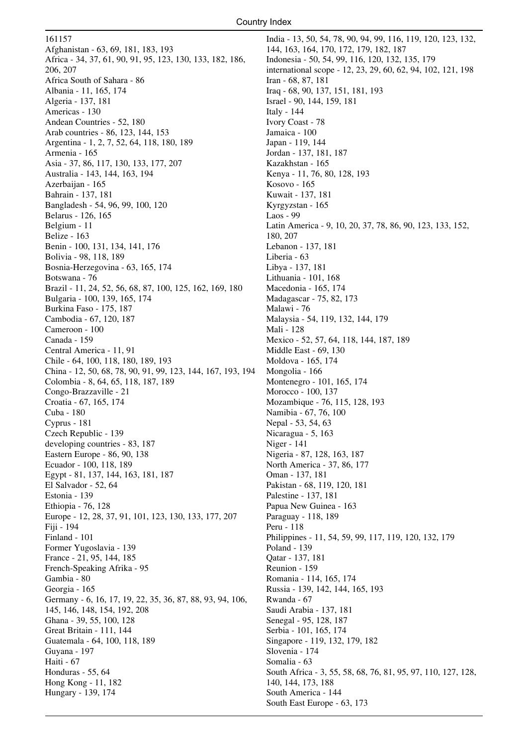Afghanistan - 63, 69, 181, 183, 193 144, 163, 164, 170, 172, 179, 182, 187 Africa - 34, 37, 61, 90, 91, 95, 123, 130, 133, 182, 186, Indonesia - 50, 54, 99, 116, 120, 132, 135, 179 Africa South of Sahara - 86 Iran - 68, 87, 181 Albania - 11, 165, 174 Iraq - 68, 90, 137, 151, 181, 193 Algeria - 137, 181 Israel - 90, 144, 159, 181 Americas - 130 Italy - 144 Andean Countries - 52, 180 Ivory Coast - 78 Arab countries - 86, 123, 144, 153 Jamaica - 100 Argentina - 1, 2, 7, 52, 64, 118, 180, 189 Japan - 119, 144 Armenia - 165 Jordan - 137, 181, 187 Asia - 37, 86, 117, 130, 133, 177, 207 Kazakhstan - 165 Australia - 143, 144, 163, 194 Kenya - 11, 76, 80, 128, 193 Azerbaijan - 165 Kosovo - 165 Bahrain - 137, 181 Kuwait - 137, 181 Bangladesh - 54, 96, 99, 100, 120 Kyrgyzstan - 165 Belarus - 126, 165 Laos - 99 Belgium - 11 Latin America - 9, 10, 20, 37, 78, 86, 90, 123, 133, 152, Belize - 163 180, 207 Benin - 100, 131, 134, 141, 176 Lebanon - 137, 181 Bolivia - 98, 118, 189 Liberia - 63 Bosnia-Herzegovina - 63, 165, 174 Libya - 137, 181 Botswana - 76 Lithuania - 101, 168 Brazil - 11, 24, 52, 56, 68, 87, 100, 125, 162, 169, 180 Macedonia - 165, 174 Bulgaria - 100, 139, 165, 174 Madagascar - 75, 82, 173 Burkina Faso - 175, 187 Malawi - 76 Cambodia - 67, 120, 187 Malaysia - 54, 119, 132, 144, 179 Cameroon - 100 Mali - 128 Canada - 159 Mexico - 52, 57, 64, 118, 144, 187, 189 Central America - 11, 91 Middle East - 69, 130 Chile - 64, 100, 118, 180, 189, 193 Moldova - 165, 174 China - 12, 50, 68, 78, 90, 91, 99, 123, 144, 167, 193, 194 Mongolia - 166 Colombia - 8, 64, 65, 118, 187, 189 Montenegro - 101, 165, 174 Congo-Brazzaville - 21 Morocco - 100, 137 Croatia - 67, 165, 174 Mozambique - 76, 115, 128, 193 Cuba - 180 Namibia - 67, 76, 100 Cyprus - 181 Nepal - 53, 54, 63 Czech Republic - 139 Nicaragua - 5, 163 developing countries - 83, 187 Niger - 141 Eastern Europe - 86, 90, 138 Nigeria - 87, 128, 163, 187 Ecuador - 100, 118, 189 North America - 37, 86, 177 Egypt - 81, 137, 144, 163, 181, 187 Oman - 137, 181 El Salvador - 52, 64 Pakistan - 68, 119, 120, 181 Estonia - 139 Palestine - 137, 181 Ethiopia - 76, 128 Papua New Guinea - 163 Europe - 12, 28, 37, 91, 101, 123, 130, 133, 177, 207 Paraguay - 118, 189 Fiji - 194 Peru - 118 Finland - 101 Philippines - 11, 54, 59, 99, 117, 119, 120, 132, 179 Former Yugoslavia - 139 Poland - 139 France - 21, 95, 144, 185 Qatar - 137, 181 French-Speaking Afrika - 95 Reunion - 159 Gambia - 80 Romania - 114, 165, 174 Georgia - 165 Russia - 139, 142, 144, 165, 193 Germany - 6, 16, 17, 19, 22, 35, 36, 87, 88, 93, 94, 106, Rwanda - 67 145, 146, 148, 154, 192, 208 Saudi Arabia - 137, 181 Ghana - 39, 55, 100, 128 Senegal - 95, 128, 187 Great Britain - 111, 144 Serbia - 101, 165, 174 Guatemala - 64, 100, 118, 189 Singapore - 119, 132, 179, 182 Guyana - 197 Slovenia - 174 Haiti - 67 Somalia - 63 Hong Kong - 11, 182 140, 144, 173, 188 Hungary - 139, 174 South America - 144

161157 India - 13, 50, 54, 78, 90, 94, 99, 116, 119, 120, 123, 132, 206, 207 international scope - 12, 23, 29, 60, 62, 94, 102, 121, 198 Honduras - 55, 64 South Africa - 3, 55, 58, 68, 76, 81, 95, 97, 110, 127, 128, South East Europe - 63, 173